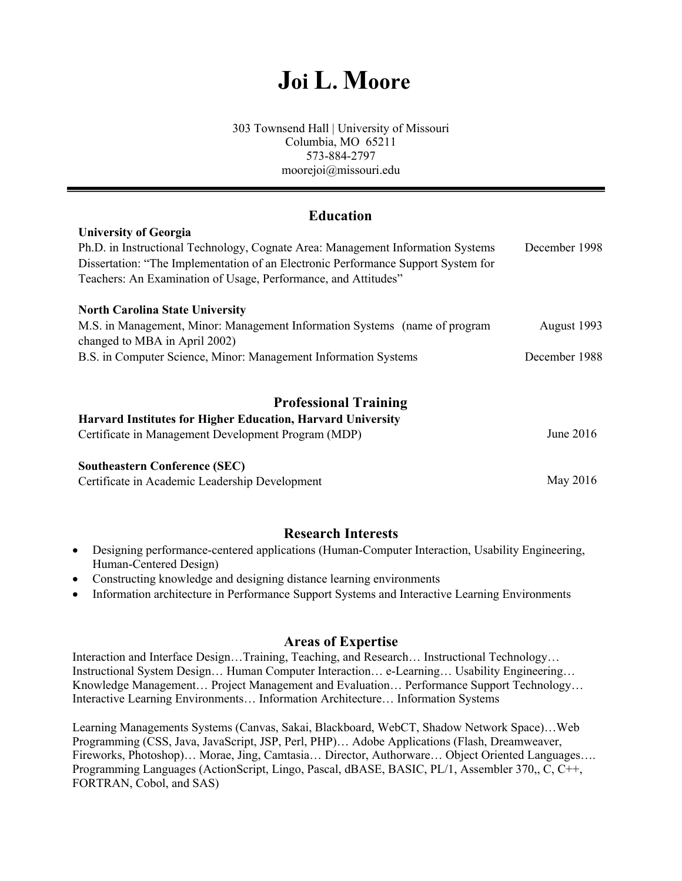# **Joi L. Moore**

#### 303 Townsend Hall | University of Missouri Columbia, MO 65211 573-884-2797 moorejoi@missouri.edu

## **Education**

#### **University of Georgia**

| Ph.D. in Instructional Technology, Cognate Area: Management Information Systems   | December 1998 |
|-----------------------------------------------------------------------------------|---------------|
| Dissertation: "The Implementation of an Electronic Performance Support System for |               |
| Teachers: An Examination of Usage, Performance, and Attitudes"                    |               |
|                                                                                   |               |

#### **North Carolina State University**

| M.S. in Management, Minor: Management Information Systems (name of program | August 1993   |
|----------------------------------------------------------------------------|---------------|
| changed to MBA in April 2002)                                              |               |
| B.S. in Computer Science, Minor: Management Information Systems            | December 1988 |

## **Professional Training**

| <b>Harvard Institutes for Higher Education, Harvard University</b> |             |
|--------------------------------------------------------------------|-------------|
| Certificate in Management Development Program (MDP)                | June $2016$ |
| <b>Southeastern Conference (SEC)</b>                               |             |

Certificate in Academic Leadership Development May 2016

#### **Research Interests**

- Designing performance-centered applications (Human-Computer Interaction, Usability Engineering, Human-Centered Design)
- Constructing knowledge and designing distance learning environments
- Information architecture in Performance Support Systems and Interactive Learning Environments

#### **Areas of Expertise**

Interaction and Interface Design…Training, Teaching, and Research… Instructional Technology… Instructional System Design… Human Computer Interaction… e-Learning… Usability Engineering… Knowledge Management… Project Management and Evaluation… Performance Support Technology… Interactive Learning Environments… Information Architecture… Information Systems

Learning Managements Systems (Canvas, Sakai, Blackboard, WebCT, Shadow Network Space)…Web Programming (CSS, Java, JavaScript, JSP, Perl, PHP)… Adobe Applications (Flash, Dreamweaver, Fireworks, Photoshop)… Morae, Jing, Camtasia… Director, Authorware… Object Oriented Languages…. Programming Languages (ActionScript, Lingo, Pascal, dBASE, BASIC, PL/1, Assembler 370,, C, C++, FORTRAN, Cobol, and SAS)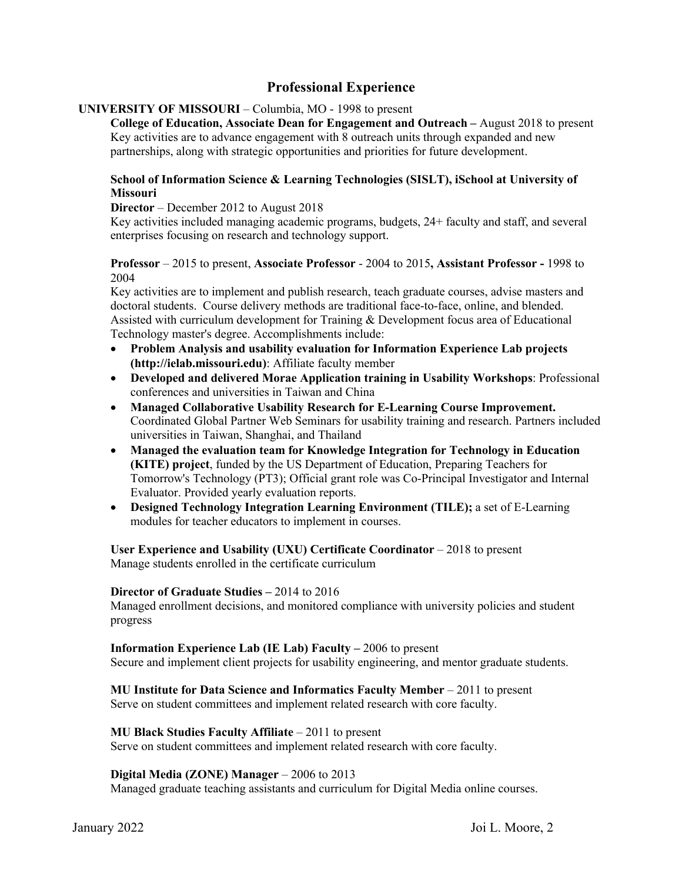## **Professional Experience**

#### **UNIVERSITY OF MISSOURI** – Columbia, MO - 1998 to present

**College of Education, Associate Dean for Engagement and Outreach –** August 2018 to present Key activities are to advance engagement with 8 outreach units through expanded and new partnerships, along with strategic opportunities and priorities for future development.

#### **School of Information Science & Learning Technologies (SISLT), iSchool at University of Missouri**

#### **Director** – December 2012 to August 2018

Key activities included managing academic programs, budgets, 24+ faculty and staff, and several enterprises focusing on research and technology support.

#### **Professor** – 2015 to present, **Associate Professor** - 2004 to 2015**, Assistant Professor -** 1998 to 2004

Key activities are to implement and publish research, teach graduate courses, advise masters and doctoral students. Course delivery methods are traditional face-to-face, online, and blended. Assisted with curriculum development for Training & Development focus area of Educational Technology master's degree. Accomplishments include:

- **Problem Analysis and usability evaluation for Information Experience Lab projects (http://ielab.missouri.edu)**: Affiliate faculty member
- **Developed and delivered Morae Application training in Usability Workshops**: Professional conferences and universities in Taiwan and China
- **Managed Collaborative Usability Research for E-Learning Course Improvement.**  Coordinated Global Partner Web Seminars for usability training and research. Partners included universities in Taiwan, Shanghai, and Thailand
- **Managed the evaluation team for Knowledge Integration for Technology in Education (KITE) project**, funded by the US Department of Education, Preparing Teachers for Tomorrow's Technology (PT3); Official grant role was Co-Principal Investigator and Internal Evaluator. Provided yearly evaluation reports.
- **Designed Technology Integration Learning Environment (TILE);** a set of E-Learning modules for teacher educators to implement in courses.

User Experience and Usability (UXU) Certificate Coordinator – 2018 to present Manage students enrolled in the certificate curriculum

#### **Director of Graduate Studies –** 2014 to 2016

Managed enrollment decisions, and monitored compliance with university policies and student progress

#### **Information Experience Lab (IE Lab) Faculty –** 2006 to present

Secure and implement client projects for usability engineering, and mentor graduate students.

#### **MU Institute for Data Science and Informatics Faculty Member** – 2011 to present

Serve on student committees and implement related research with core faculty.

#### **MU Black Studies Faculty Affiliate** – 2011 to present

Serve on student committees and implement related research with core faculty.

#### **Digital Media (ZONE) Manager** – 2006 to 2013

Managed graduate teaching assistants and curriculum for Digital Media online courses.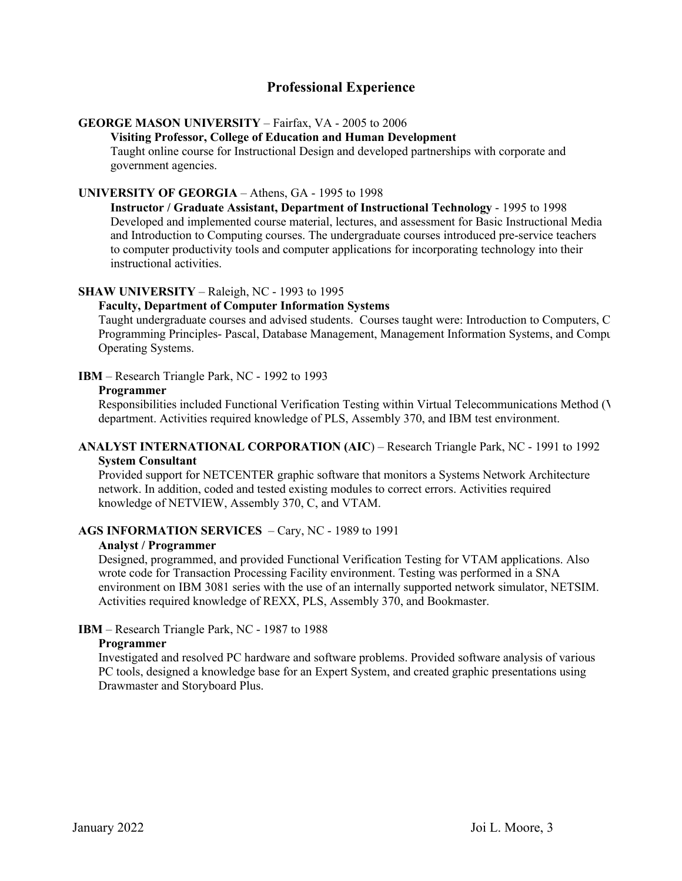## **Professional Experience**

#### **GEORGE MASON UNIVERSITY** – Fairfax, VA - 2005 to 2006

#### **Visiting Professor, College of Education and Human Development**

Taught online course for Instructional Design and developed partnerships with corporate and government agencies.

#### **UNIVERSITY OF GEORGIA** – Athens, GA - 1995 to 1998

**Instructor / Graduate Assistant, Department of Instructional Technology** - 1995 to 1998 Developed and implemented course material, lectures, and assessment for Basic Instructional Media and Introduction to Computing courses. The undergraduate courses introduced pre-service teachers to computer productivity tools and computer applications for incorporating technology into their instructional activities.

#### **SHAW UNIVERSITY** – Raleigh, NC - 1993 to 1995

#### **Faculty, Department of Computer Information Systems**

Taught undergraduate courses and advised students. Courses taught were: Introduction to Computers, C Programming Principles- Pascal, Database Management, Management Information Systems, and Compu Operating Systems.

#### **IBM** – Research Triangle Park, NC - 1992 to 1993

#### **Programmer**

Responsibilities included Functional Verification Testing within Virtual Telecommunications Method  $(V$ department. Activities required knowledge of PLS, Assembly 370, and IBM test environment.

#### **ANALYST INTERNATIONAL CORPORATION (AIC**) – Research Triangle Park, NC - 1991 to 1992 **System Consultant**

Provided support for NETCENTER graphic software that monitors a Systems Network Architecture network. In addition, coded and tested existing modules to correct errors. Activities required knowledge of NETVIEW, Assembly 370, C, and VTAM.

#### **AGS INFORMATION SERVICES** – Cary, NC - 1989 to 1991

#### **Analyst / Programmer**

Designed, programmed, and provided Functional Verification Testing for VTAM applications. Also wrote code for Transaction Processing Facility environment. Testing was performed in a SNA environment on IBM 3081 series with the use of an internally supported network simulator, NETSIM. Activities required knowledge of REXX, PLS, Assembly 370, and Bookmaster.

#### **IBM** – Research Triangle Park, NC - 1987 to 1988

#### **Programmer**

Investigated and resolved PC hardware and software problems. Provided software analysis of various PC tools, designed a knowledge base for an Expert System, and created graphic presentations using Drawmaster and Storyboard Plus.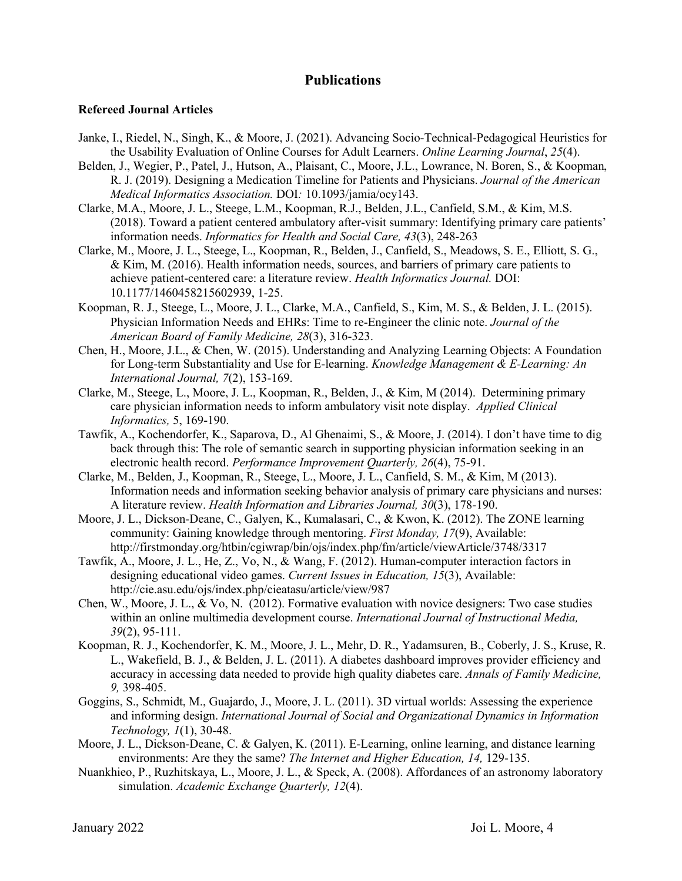#### **Refereed Journal Articles**

- Janke, I., Riedel, N., Singh, K., & Moore, J. (2021). Advancing Socio-Technical-Pedagogical Heuristics for the Usability Evaluation of Online Courses for Adult Learners. *Online Learning Journal*, *25*(4).
- Belden, J., Wegier, P., Patel, J., Hutson, A., Plaisant, C., Moore, J.L., Lowrance, N. Boren, S., & Koopman, R. J. (2019). Designing a Medication Timeline for Patients and Physicians. *Journal of the American Medical Informatics Association.* DOI*:* 10.1093/jamia/ocy143.
- Clarke, M.A., Moore, J. L., Steege, L.M., Koopman, R.J., Belden, J.L., Canfield, S.M., & Kim, M.S. (2018). Toward a patient centered ambulatory after-visit summary: Identifying primary care patients' information needs. *Informatics for Health and Social Care, 43*(3), 248-263
- Clarke, M., Moore, J. L., Steege, L., Koopman, R., Belden, J., Canfield, S., Meadows, S. E., Elliott, S. G., & Kim, M. (2016). Health information needs, sources, and barriers of primary care patients to achieve patient-centered care: a literature review. *Health Informatics Journal.* DOI: 10.1177/1460458215602939, 1-25.
- Koopman, R. J., Steege, L., Moore, J. L., Clarke, M.A., Canfield, S., Kim, M. S., & Belden, J. L. (2015). Physician Information Needs and EHRs: Time to re-Engineer the clinic note. *Journal of the American Board of Family Medicine, 28*(3), 316-323.
- Chen, H., Moore, J.L., & Chen, W. (2015). Understanding and Analyzing Learning Objects: A Foundation for Long-term Substantiality and Use for E-learning. *Knowledge Management & E-Learning: An International Journal, 7*(2), 153-169.
- Clarke, M., Steege, L., Moore, J. L., Koopman, R., Belden, J., & Kim, M (2014). Determining primary care physician information needs to inform ambulatory visit note display. *Applied Clinical Informatics,* 5, 169-190.
- Tawfik, A., Kochendorfer, K., Saparova, D., Al Ghenaimi, S., & Moore, J. (2014). I don't have time to dig back through this: The role of semantic search in supporting physician information seeking in an electronic health record. *Performance Improvement Quarterly, 26*(4), 75-91.
- Clarke, M., Belden, J., Koopman, R., Steege, L., Moore, J. L., Canfield, S. M., & Kim, M (2013). Information needs and information seeking behavior analysis of primary care physicians and nurses: A literature review. *Health Information and Libraries Journal, 30*(3), 178-190.
- Moore, J. L., Dickson-Deane, C., Galyen, K., Kumalasari, C., & Kwon, K. (2012). The ZONE learning community: Gaining knowledge through mentoring. *First Monday, 17*(9), Available: http://firstmonday.org/htbin/cgiwrap/bin/ojs/index.php/fm/article/viewArticle/3748/3317
- Tawfik, A., Moore, J. L., He, Z., Vo, N., & Wang, F. (2012). Human-computer interaction factors in designing educational video games. *Current Issues in Education, 15*(3), Available: http://cie.asu.edu/ojs/index.php/cieatasu/article/view/987
- Chen, W., Moore, J. L., & Vo, N. (2012). Formative evaluation with novice designers: Two case studies within an online multimedia development course. *International Journal of Instructional Media, 39*(2), 95-111.
- Koopman, R. J., Kochendorfer, K. M., Moore, J. L., Mehr, D. R., Yadamsuren, B., Coberly, J. S., Kruse, R. L., Wakefield, B. J., & Belden, J. L. (2011). A diabetes dashboard improves provider efficiency and accuracy in accessing data needed to provide high quality diabetes care. *Annals of Family Medicine, 9,* 398-405.
- Goggins, S., Schmidt, M., Guajardo, J., Moore, J. L. (2011). 3D virtual worlds: Assessing the experience and informing design. *International Journal of Social and Organizational Dynamics in Information Technology, 1*(1), 30-48.
- Moore, J. L., Dickson-Deane, C. & Galyen, K. (2011). E-Learning, online learning, and distance learning environments: Are they the same? *The Internet and Higher Education, 14,* 129-135.
- Nuankhieo, P., Ruzhitskaya, L., Moore, J. L., & Speck, A. (2008). Affordances of an astronomy laboratory simulation. *Academic Exchange Quarterly, 12*(4).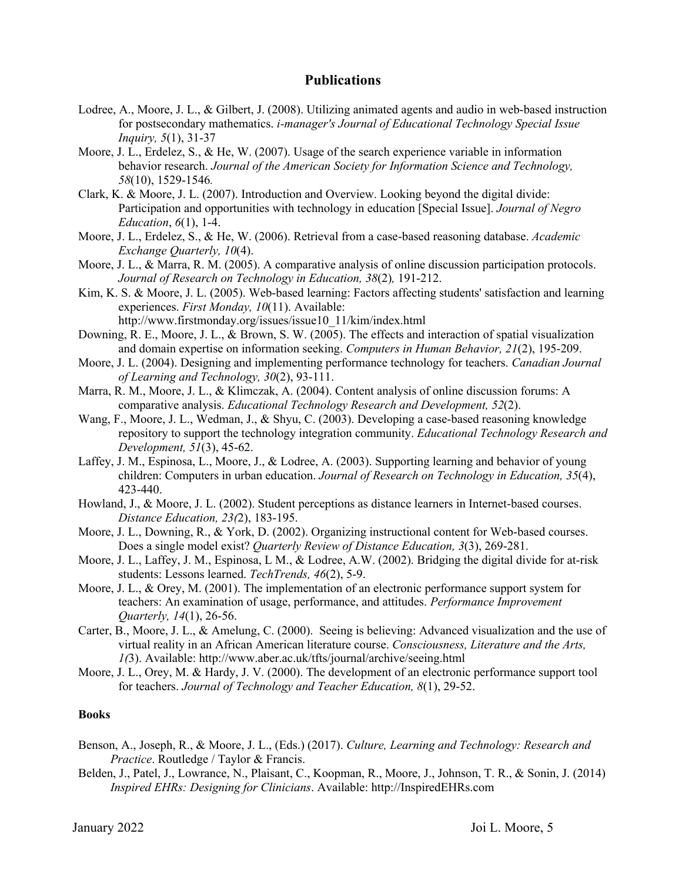- Lodree, A., Moore, J. L., & Gilbert, J. (2008). Utilizing animated agents and audio in web-based instruction for postsecondary mathematics. *i-manager's Journal of Educational Technology Special Issue Inquiry, 5*(1), 31-37
- Moore, J. L., Erdelez, S., & He, W. (2007). Usage of the search experience variable in information behavior research. *Journal of the American Society for Information Science and Technology, 58*(10), 1529-1546*.*
- Clark, K. & Moore, J. L. (2007). Introduction and Overview. Looking beyond the digital divide: Participation and opportunities with technology in education [Special Issue]. *Journal of Negro Education*, *6*(1), 1-4.
- Moore, J. L., Erdelez, S., & He, W. (2006). Retrieval from a case-based reasoning database. *Academic Exchange Quarterly, 10*(4).
- Moore, J. L., & Marra, R. M. (2005). A comparative analysis of online discussion participation protocols. *Journal of Research on Technology in Education, 38*(2)*,* 191-212.
- Kim, K. S. & Moore, J. L. (2005). Web-based learning: Factors affecting students' satisfaction and learning experiences. *First Monday, 10*(11). Available: http://www.firstmonday.org/issues/issue10\_11/kim/index.html
- Downing, R. E., Moore, J. L., & Brown, S. W. (2005). The effects and interaction of spatial visualization and domain expertise on information seeking. *Computers in Human Behavior, 21*(2), 195-209.
- Moore, J. L. (2004). Designing and implementing performance technology for teachers. *Canadian Journal of Learning and Technology, 30*(2), 93-111.
- Marra, R. M., Moore, J. L., & Klimczak, A. (2004). Content analysis of online discussion forums: A comparative analysis. *Educational Technology Research and Development, 52*(2).
- Wang, F., Moore, J. L., Wedman, J., & Shyu, C. (2003). Developing a case-based reasoning knowledge repository to support the technology integration community. *Educational Technology Research and Development, 51*(3), 45-62.
- Laffey, J. M., Espinosa, L., Moore, J., & Lodree, A. (2003). Supporting learning and behavior of young children: Computers in urban education. *Journal of Research on Technology in Education, 35*(4), 423-440.
- Howland, J., & Moore, J. L. (2002). Student perceptions as distance learners in Internet-based courses. *Distance Education, 23(*2), 183-195.
- Moore, J. L., Downing, R., & York, D. (2002). Organizing instructional content for Web-based courses. Does a single model exist? *Quarterly Review of Distance Education, 3*(3), 269-281.
- Moore, J. L., Laffey, J. M., Espinosa, L M., & Lodree, A.W. (2002). Bridging the digital divide for at-risk students: Lessons learned. *TechTrends, 46*(2), 5-9.
- Moore, J. L., & Orey, M. (2001). The implementation of an electronic performance support system for teachers: An examination of usage, performance, and attitudes. *Performance Improvement Quarterly, 14*(1), 26-56.
- Carter, B., Moore, J. L., & Amelung, C. (2000). Seeing is believing: Advanced visualization and the use of virtual reality in an African American literature course. *Consciousness, Literature and the Arts, 1(*3). Available: http://www.aber.ac.uk/tfts/journal/archive/seeing.html
- Moore, J. L., Orey, M. & Hardy, J. V. (2000). The development of an electronic performance support tool for teachers. *Journal of Technology and Teacher Education, 8*(1), 29-52.

#### **Books**

- Benson, A., Joseph, R., & Moore, J. L., (Eds.) (2017). *Culture, Learning and Technology: Research and Practice*. Routledge / Taylor & Francis.
- Belden, J., Patel, J., Lowrance, N., Plaisant, C., Koopman, R., Moore, J., Johnson, T. R., & Sonin, J. (2014) *Inspired EHRs: Designing for Clinicians*. Available: http://InspiredEHRs.com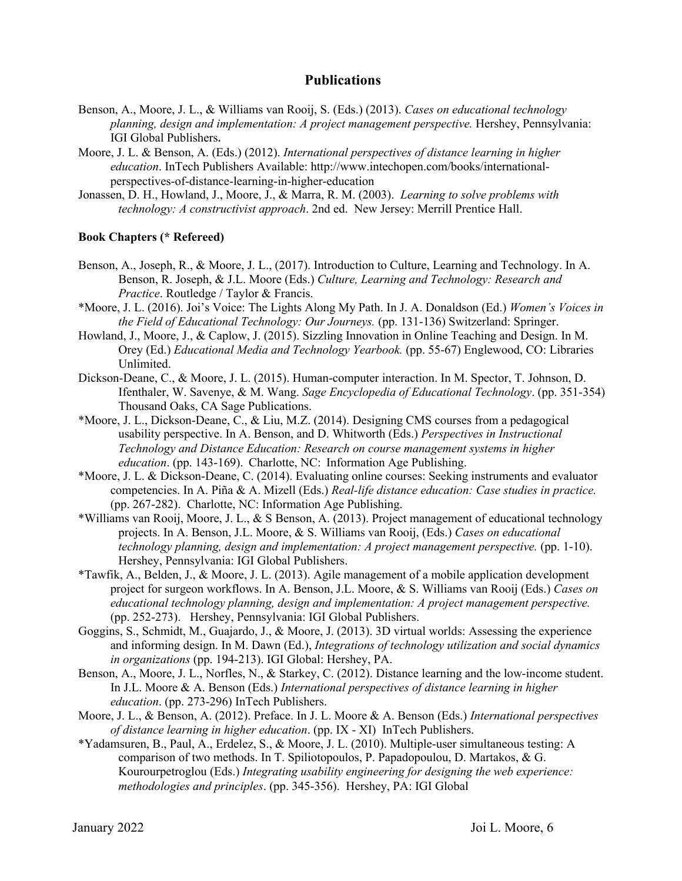- Benson, A., Moore, J. L., & Williams van Rooij, S. (Eds.) (2013). *Cases on educational technology planning, design and implementation: A project management perspective.* Hershey, Pennsylvania: IGI Global Publishers.
- Moore, J. L. & Benson, A. (Eds.) (2012). *International perspectives of distance learning in higher education*. InTech Publishers Available: http://www.intechopen.com/books/internationalperspectives-of-distance-learning-in-higher-education
- Jonassen, D. H., Howland, J., Moore, J., & Marra, R. M. (2003). *Learning to solve problems with technology: A constructivist approach*. 2nd ed. New Jersey: Merrill Prentice Hall.

#### **Book Chapters (\* Refereed)**

- Benson, A., Joseph, R., & Moore, J. L., (2017). Introduction to Culture, Learning and Technology. In A. Benson, R. Joseph, & J.L. Moore (Eds.) *Culture, Learning and Technology: Research and Practice*. Routledge / Taylor & Francis.
- \*Moore, J. L. (2016). Joi's Voice: The Lights Along My Path. In J. A. Donaldson (Ed.) *Women's Voices in the Field of Educational Technology: Our Journeys.* (pp. 131-136) Switzerland: Springer.
- Howland, J., Moore, J., & Caplow, J. (2015). Sizzling Innovation in Online Teaching and Design. In M. Orey (Ed.) *Educational Media and Technology Yearbook.* (pp. 55-67) Englewood, CO: Libraries Unlimited.
- Dickson-Deane, C., & Moore, J. L. (2015). Human-computer interaction. In M. Spector, T. Johnson, D. Ifenthaler, W. Savenye, & M. Wang. *Sage Encyclopedia of Educational Technology*. (pp. 351-354) Thousand Oaks, CA Sage Publications.
- \*Moore, J. L., Dickson-Deane, C., & Liu, M.Z. (2014). Designing CMS courses from a pedagogical usability perspective. In A. Benson, and D. Whitworth (Eds.) *Perspectives in Instructional Technology and Distance Education: Research on course management systems in higher education*. (pp. 143-169). Charlotte, NC: Information Age Publishing.
- \*Moore, J. L. & Dickson-Deane, C. (2014). Evaluating online courses: Seeking instruments and evaluator competencies. In A. Piña & A. Mizell (Eds.) *Real-life distance education: Case studies in practice.*  (pp. 267-282). Charlotte, NC: Information Age Publishing.
- \*Williams van Rooij, Moore, J. L., & S Benson, A. (2013). Project management of educational technology projects. In A. Benson, J.L. Moore, & S. Williams van Rooij, (Eds.) *Cases on educational technology planning, design and implementation: A project management perspective.* (pp. 1-10). Hershey, Pennsylvania: IGI Global Publishers.
- \*Tawfik, A., Belden, J., & Moore, J. L. (2013). Agile management of a mobile application development project for surgeon workflows. In A. Benson, J.L. Moore, & S. Williams van Rooij (Eds.) *Cases on educational technology planning, design and implementation: A project management perspective.*  (pp. 252-273). Hershey, Pennsylvania: IGI Global Publishers.
- Goggins, S., Schmidt, M., Guajardo, J., & Moore, J. (2013). 3D virtual worlds: Assessing the experience and informing design. In M. Dawn (Ed.), *Integrations of technology utilization and social dynamics in organizations* (pp. 194-213). IGI Global: Hershey, PA.
- Benson, A., Moore, J. L., Norfles, N., & Starkey, C. (2012). Distance learning and the low-income student. In J.L. Moore & A. Benson (Eds.) *International perspectives of distance learning in higher education*. (pp. 273-296) InTech Publishers.
- Moore, J. L., & Benson, A. (2012). Preface. In J. L. Moore & A. Benson (Eds.) *International perspectives of distance learning in higher education*. (pp. IX - XI) InTech Publishers.
- \*Yadamsuren, B., Paul, A., Erdelez, S., & Moore, J. L. (2010). Multiple-user simultaneous testing: A comparison of two methods. In T. Spiliotopoulos, P. Papadopoulou, D. Martakos, & G. Kourourpetroglou (Eds.) *Integrating usability engineering for designing the web experience: methodologies and principles*. (pp. 345-356). Hershey, PA: IGI Global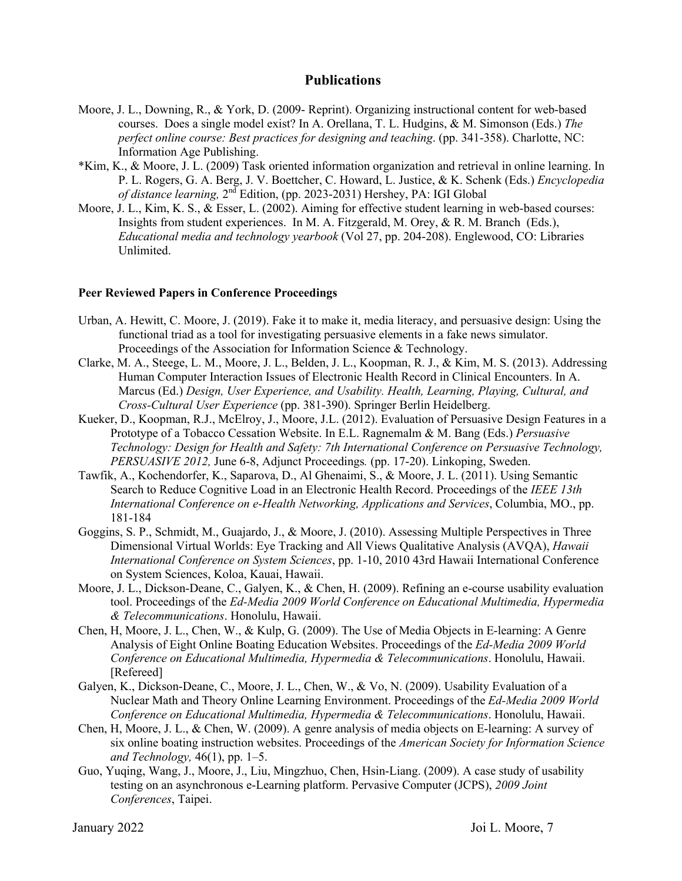- Moore, J. L., Downing, R., & York, D. (2009- Reprint). Organizing instructional content for web-based courses. Does a single model exist? In A. Orellana, T. L. Hudgins, & M. Simonson (Eds.) *The perfect online course: Best practices for designing and teaching*. (pp. 341-358). Charlotte, NC: Information Age Publishing.
- \*Kim, K., & Moore, J. L. (2009) Task oriented information organization and retrieval in online learning. In P. L. Rogers, G. A. Berg, J. V. Boettcher, C. Howard, L. Justice, & K. Schenk (Eds.) *Encyclopedia of distance learning,* 2nd Edition, (pp. 2023-2031) Hershey, PA: IGI Global
- Moore, J. L., Kim, K. S., & Esser, L. (2002). Aiming for effective student learning in web-based courses: Insights from student experiences. In M. A. Fitzgerald, M. Orey, & R. M. Branch (Eds.), *Educational media and technology yearbook* (Vol 27, pp. 204-208). Englewood, CO: Libraries Unlimited.

#### **Peer Reviewed Papers in Conference Proceedings**

- Urban, A. Hewitt, C. Moore, J. (2019). Fake it to make it, media literacy, and persuasive design: Using the functional triad as a tool for investigating persuasive elements in a fake news simulator. Proceedings of the Association for Information Science & Technology.
- Clarke, M. A., Steege, L. M., Moore, J. L., Belden, J. L., Koopman, R. J., & Kim, M. S. (2013). Addressing Human Computer Interaction Issues of Electronic Health Record in Clinical Encounters. In A. Marcus (Ed.) *Design, User Experience, and Usability. Health, Learning, Playing, Cultural, and Cross-Cultural User Experience* (pp. 381-390). Springer Berlin Heidelberg.
- Kueker, D., Koopman, R.J., McElroy, J., Moore, J.L. (2012). Evaluation of Persuasive Design Features in a Prototype of a Tobacco Cessation Website. In E.L. Ragnemalm & M. Bang (Eds.) *Persuasive Technology: Design for Health and Safety: 7th International Conference on Persuasive Technology, PERSUASIVE 2012,* June 6-8, Adjunct Proceedings*.* (pp. 17-20). Linkoping, Sweden.
- Tawfik, A., Kochendorfer, K., Saparova, D., Al Ghenaimi, S., & Moore, J. L. (2011). Using Semantic Search to Reduce Cognitive Load in an Electronic Health Record. Proceedings of the *IEEE 13th International Conference on e-Health Networking, Applications and Services*, Columbia, MO., pp. 181-184
- Goggins, S. P., Schmidt, M., Guajardo, J., & Moore, J. (2010). Assessing Multiple Perspectives in Three Dimensional Virtual Worlds: Eye Tracking and All Views Qualitative Analysis (AVQA), *Hawaii International Conference on System Sciences*, pp. 1-10, 2010 43rd Hawaii International Conference on System Sciences, Koloa, Kauai, Hawaii.
- Moore, J. L., Dickson-Deane, C., Galyen, K., & Chen, H. (2009). Refining an e-course usability evaluation tool. Proceedings of the *Ed-Media 2009 World Conference on Educational Multimedia, Hypermedia & Telecommunications*. Honolulu, Hawaii.
- Chen, H, Moore, J. L., Chen, W., & Kulp, G. (2009). The Use of Media Objects in E-learning: A Genre Analysis of Eight Online Boating Education Websites. Proceedings of the *Ed-Media 2009 World Conference on Educational Multimedia, Hypermedia & Telecommunications*. Honolulu, Hawaii. [Refereed]
- Galyen, K., Dickson-Deane, C., Moore, J. L., Chen, W., & Vo, N. (2009). Usability Evaluation of a Nuclear Math and Theory Online Learning Environment. Proceedings of the *Ed-Media 2009 World Conference on Educational Multimedia, Hypermedia & Telecommunications*. Honolulu, Hawaii.
- Chen, H, Moore, J. L., & Chen, W. (2009). A genre analysis of media objects on E-learning: A survey of six online boating instruction websites. Proceedings of the *American Society for Information Science and Technology,* 46(1), pp. 1–5.
- Guo, Yuqing, Wang, J., Moore, J., Liu, Mingzhuo, Chen, Hsin-Liang. (2009). A case study of usability testing on an asynchronous e-Learning platform. Pervasive Computer (JCPS), *2009 Joint Conferences*, Taipei.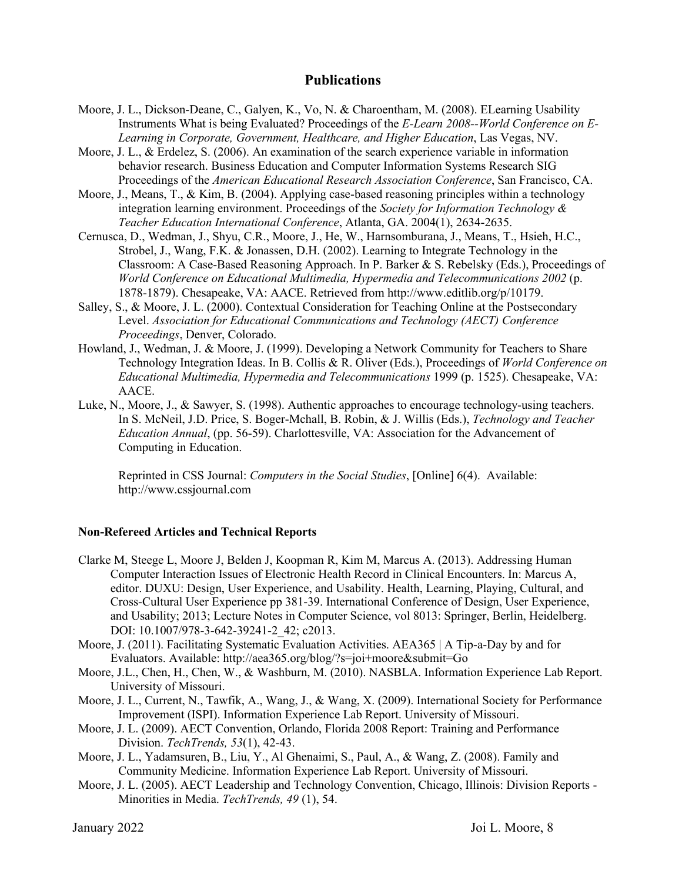- Moore, J. L., Dickson-Deane, C., Galyen, K., Vo, N. & Charoentham, M. (2008). ELearning Usability Instruments What is being Evaluated? Proceedings of the *E-Learn 2008--World Conference on E-Learning in Corporate, Government, Healthcare, and Higher Education*, Las Vegas, NV.
- Moore, J. L., & Erdelez, S. (2006). An examination of the search experience variable in information behavior research. Business Education and Computer Information Systems Research SIG Proceedings of the *American Educational Research Association Conference*, San Francisco, CA.
- Moore, J., Means, T., & Kim, B. (2004). Applying case-based reasoning principles within a technology integration learning environment. Proceedings of the *Society for Information Technology & Teacher Education International Conference*, Atlanta, GA. 2004(1), 2634-2635.
- Cernusca, D., Wedman, J., Shyu, C.R., Moore, J., He, W., Harnsomburana, J., Means, T., Hsieh, H.C., Strobel, J., Wang, F.K. & Jonassen, D.H. (2002). Learning to Integrate Technology in the Classroom: A Case-Based Reasoning Approach. In P. Barker & S. Rebelsky (Eds.), Proceedings of *World Conference on Educational Multimedia, Hypermedia and Telecommunications 2002* (p. 1878-1879). Chesapeake, VA: AACE. Retrieved from http://www.editlib.org/p/10179.
- Salley, S., & Moore, J. L. (2000). Contextual Consideration for Teaching Online at the Postsecondary Level. *Association for Educational Communications and Technology (AECT) Conference Proceedings*, Denver, Colorado.
- Howland, J., Wedman, J. & Moore, J. (1999). Developing a Network Community for Teachers to Share Technology Integration Ideas. In B. Collis & R. Oliver (Eds.), Proceedings of *World Conference on Educational Multimedia, Hypermedia and Telecommunications* 1999 (p. 1525). Chesapeake, VA: AACE.
- Luke, N., Moore, J., & Sawyer, S. (1998). Authentic approaches to encourage technology-using teachers. In S. McNeil, J.D. Price, S. Boger-Mchall, B. Robin, & J. Willis (Eds.), *Technology and Teacher Education Annual*, (pp. 56-59). Charlottesville, VA: Association for the Advancement of Computing in Education.

Reprinted in CSS Journal: *Computers in the Social Studies*, [Online] 6(4). Available: http://www.cssjournal.com

#### **Non-Refereed Articles and Technical Reports**

- Clarke M, Steege L, Moore J, Belden J, Koopman R, Kim M, Marcus A. (2013). Addressing Human Computer Interaction Issues of Electronic Health Record in Clinical Encounters. In: Marcus A, editor. DUXU: Design, User Experience, and Usability. Health, Learning, Playing, Cultural, and Cross-Cultural User Experience pp 381-39. International Conference of Design, User Experience, and Usability; 2013; Lecture Notes in Computer Science, vol 8013: Springer, Berlin, Heidelberg. DOI: 10.1007/978-3-642-39241-2 42; c2013.
- Moore, J. (2011). Facilitating Systematic Evaluation Activities. AEA365 | A Tip-a-Day by and for Evaluators. Available: http://aea365.org/blog/?s=joi+moore&submit=Go
- Moore, J.L., Chen, H., Chen, W., & Washburn, M. (2010). NASBLA. Information Experience Lab Report. University of Missouri.
- Moore, J. L., Current, N., Tawfik, A., Wang, J., & Wang, X. (2009). International Society for Performance Improvement (ISPI). Information Experience Lab Report. University of Missouri.
- Moore, J. L. (2009). AECT Convention, Orlando, Florida 2008 Report: Training and Performance Division. *TechTrends, 53*(1), 42-43.
- Moore, J. L., Yadamsuren, B., Liu, Y., Al Ghenaimi, S., Paul, A., & Wang, Z. (2008). Family and Community Medicine. Information Experience Lab Report. University of Missouri.
- Moore, J. L. (2005). AECT Leadership and Technology Convention, Chicago, Illinois: Division Reports Minorities in Media. *TechTrends, 49* (1), 54.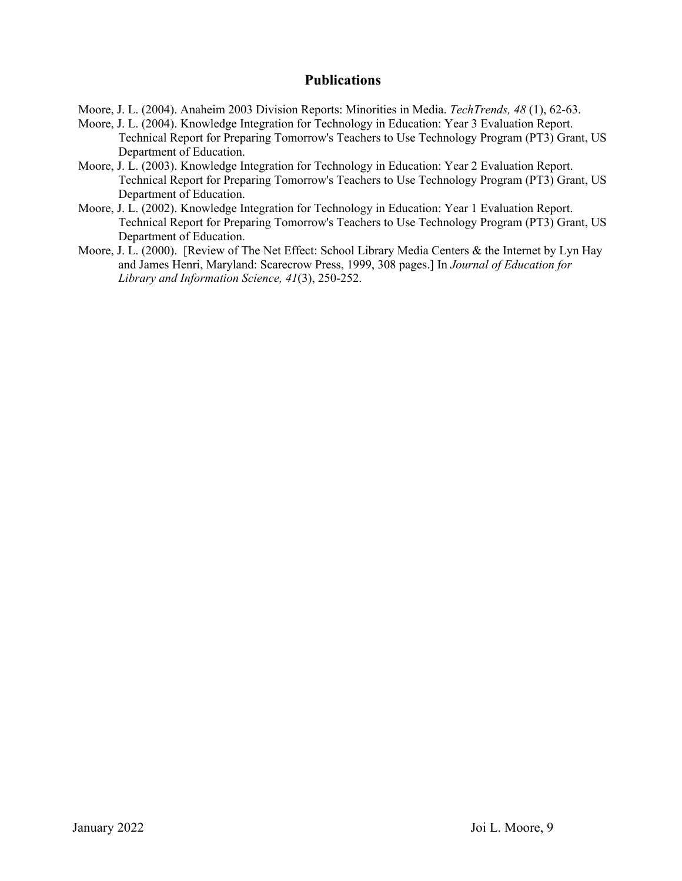Moore, J. L. (2004). Anaheim 2003 Division Reports: Minorities in Media. *TechTrends, 48* (1), 62-63.

- Moore, J. L. (2004). Knowledge Integration for Technology in Education: Year 3 Evaluation Report. Technical Report for Preparing Tomorrow's Teachers to Use Technology Program (PT3) Grant, US Department of Education.
- Moore, J. L. (2003). Knowledge Integration for Technology in Education: Year 2 Evaluation Report. Technical Report for Preparing Tomorrow's Teachers to Use Technology Program (PT3) Grant, US Department of Education.
- Moore, J. L. (2002). Knowledge Integration for Technology in Education: Year 1 Evaluation Report. Technical Report for Preparing Tomorrow's Teachers to Use Technology Program (PT3) Grant, US Department of Education.
- Moore, J. L. (2000). [Review of The Net Effect: School Library Media Centers & the Internet by Lyn Hay and James Henri, Maryland: Scarecrow Press, 1999, 308 pages.] In *Journal of Education for Library and Information Science, 41*(3), 250-252.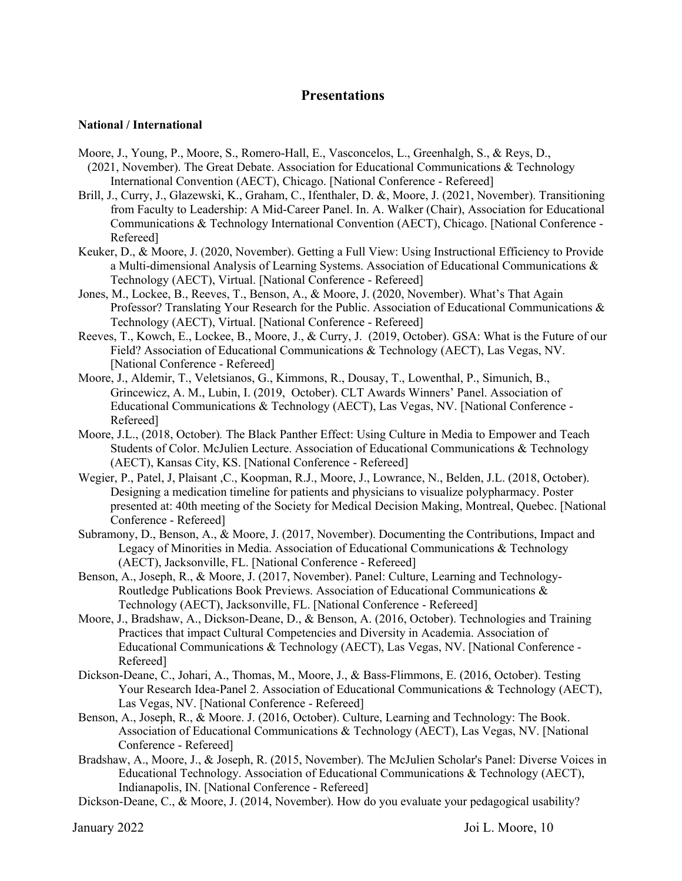## **Presentations**

#### **National / International**

- Moore, J., Young, P., Moore, S., Romero-Hall, E., Vasconcelos, L., Greenhalgh, S., & Reys, D.,
- (2021, November). The Great Debate. Association for Educational Communications & Technology International Convention (AECT), Chicago. [National Conference - Refereed]
- Brill, J., Curry, J., Glazewski, K., Graham, C., Ifenthaler, D. &, Moore, J. (2021, November). Transitioning from Faculty to Leadership: A Mid-Career Panel. In. A. Walker (Chair), Association for Educational Communications & Technology International Convention (AECT), Chicago. [National Conference - Refereed]
- Keuker, D., & Moore, J. (2020, November). Getting a Full View: Using Instructional Efficiency to Provide a Multi-dimensional Analysis of Learning Systems. Association of Educational Communications & Technology (AECT), Virtual. [National Conference - Refereed]
- Jones, M., Lockee, B., Reeves, T., Benson, A., & Moore, J. (2020, November). What's That Again Professor? Translating Your Research for the Public. Association of Educational Communications & Technology (AECT), Virtual. [National Conference - Refereed]
- Reeves, T., Kowch, E., Lockee, B., Moore, J., & Curry, J. (2019, October). GSA: What is the Future of our Field? Association of Educational Communications & Technology (AECT), Las Vegas, NV. [National Conference - Refereed]
- Moore, J., Aldemir, T., Veletsianos, G., Kimmons, R., Dousay, T., Lowenthal, P., Simunich, B., Grincewicz, A. M., Lubin, I. (2019, October). CLT Awards Winners' Panel. Association of Educational Communications & Technology (AECT), Las Vegas, NV. [National Conference - Refereed]
- Moore, J.L., (2018, October)*.* The Black Panther Effect: Using Culture in Media to Empower and Teach Students of Color. McJulien Lecture. Association of Educational Communications & Technology (AECT), Kansas City, KS. [National Conference - Refereed]
- Wegier, P., Patel, J, Plaisant ,C., Koopman, R.J., Moore, J., Lowrance, N., Belden, J.L. (2018, October). Designing a medication timeline for patients and physicians to visualize polypharmacy. Poster presented at: 40th meeting of the Society for Medical Decision Making, Montreal, Quebec. [National Conference - Refereed]
- Subramony, D., Benson, A., & Moore, J. (2017, November). Documenting the Contributions, Impact and Legacy of Minorities in Media. Association of Educational Communications & Technology (AECT), Jacksonville, FL. [National Conference - Refereed]
- Benson, A., Joseph, R., & Moore, J. (2017, November). Panel: Culture, Learning and Technology-Routledge Publications Book Previews. Association of Educational Communications & Technology (AECT), Jacksonville, FL. [National Conference - Refereed]
- Moore, J., Bradshaw, A., Dickson-Deane, D., & Benson, A. (2016, October). Technologies and Training Practices that impact Cultural Competencies and Diversity in Academia. Association of Educational Communications & Technology (AECT), Las Vegas, NV. [National Conference - Refereed]
- Dickson-Deane, C., Johari, A., Thomas, M., Moore, J., & Bass-Flimmons, E. (2016, October). Testing Your Research Idea-Panel 2. Association of Educational Communications & Technology (AECT), Las Vegas, NV. [National Conference - Refereed]
- Benson, A., Joseph, R., & Moore. J. (2016, October). Culture, Learning and Technology: The Book. Association of Educational Communications & Technology (AECT), Las Vegas, NV. [National Conference - Refereed]
- Bradshaw, A., Moore, J., & Joseph, R. (2015, November). The McJulien Scholar's Panel: Diverse Voices in Educational Technology. Association of Educational Communications & Technology (AECT), Indianapolis, IN. [National Conference - Refereed]
- Dickson-Deane, C., & Moore, J. (2014, November). How do you evaluate your pedagogical usability?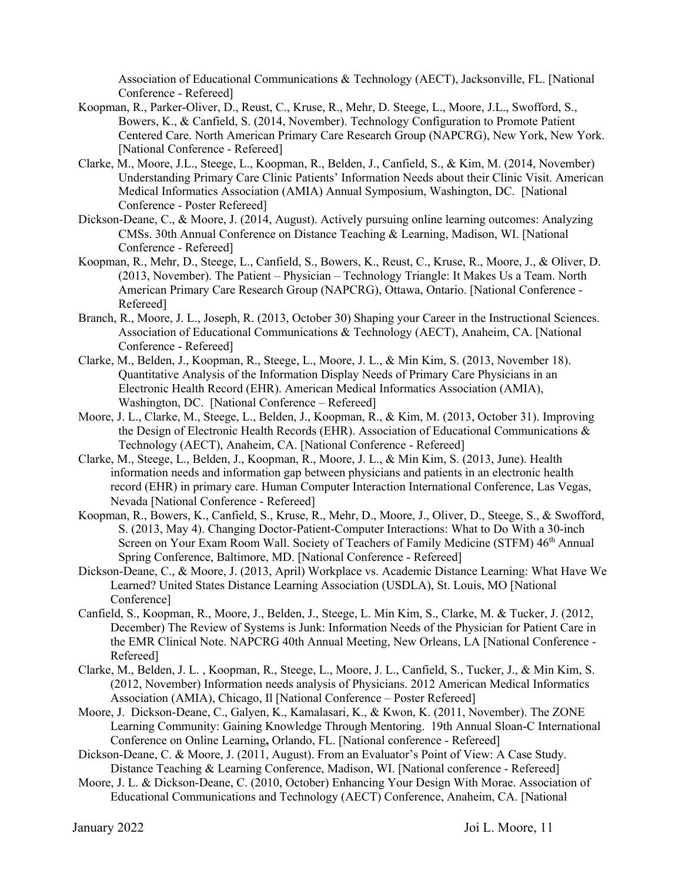Association of Educational Communications & Technology (AECT), Jacksonville, FL. [National Conference - Refereed]

- Koopman, R., Parker-Oliver, D., Reust, C., Kruse, R., Mehr, D. Steege, L., Moore, J.L., Swofford, S., Bowers, K., & Canfield, S. (2014, November). Technology Configuration to Promote Patient Centered Care. North American Primary Care Research Group (NAPCRG), New York, New York. [National Conference - Refereed]
- Clarke, M., Moore, J.L., Steege, L., Koopman, R., Belden, J., Canfield, S., & Kim, M. (2014, November) Understanding Primary Care Clinic Patients' Information Needs about their Clinic Visit. American Medical Informatics Association (AMIA) Annual Symposium, Washington, DC. [National Conference - Poster Refereed]
- Dickson-Deane, C., & Moore, J. (2014, August). Actively pursuing online learning outcomes: Analyzing CMSs. 30th Annual Conference on Distance Teaching & Learning, Madison, WI. [National Conference - Refereed]
- Koopman, R., Mehr, D., Steege, L., Canfield, S., Bowers, K., Reust, C., Kruse, R., Moore, J., & Oliver, D. (2013, November). The Patient – Physician – Technology Triangle: It Makes Us a Team. North American Primary Care Research Group (NAPCRG), Ottawa, Ontario. [National Conference - Refereed]
- Branch, R., Moore, J. L., Joseph, R. (2013, October 30) Shaping your Career in the Instructional Sciences. Association of Educational Communications & Technology (AECT), Anaheim, CA. [National Conference - Refereed]
- Clarke, M., Belden, J., Koopman, R., Steege, L., Moore, J. L., & Min Kim, S. (2013, November 18). Quantitative Analysis of the Information Display Needs of Primary Care Physicians in an Electronic Health Record (EHR). American Medical Informatics Association (AMIA), Washington, DC. [National Conference – Refereed]
- Moore, J. L., Clarke, M., Steege, L., Belden, J., Koopman, R., & Kim, M. (2013, October 31). Improving the Design of Electronic Health Records (EHR). Association of Educational Communications & Technology (AECT), Anaheim, CA. [National Conference - Refereed]
- Clarke, M., Steege, L., Belden, J., Koopman, R., Moore, J. L., & Min Kim, S. (2013, June). Health information needs and information gap between physicians and patients in an electronic health record (EHR) in primary care. Human Computer Interaction International Conference, Las Vegas, Nevada [National Conference - Refereed]
- Koopman, R., Bowers, K., Canfield, S., Kruse, R., Mehr, D., Moore, J., Oliver, D., Steege, S., & Swofford, S. (2013, May 4). Changing Doctor-Patient-Computer Interactions: What to Do With a 30-inch Screen on Your Exam Room Wall. Society of Teachers of Family Medicine (STFM)  $46<sup>th</sup>$  Annual Spring Conference, Baltimore, MD. [National Conference - Refereed]
- Dickson-Deane, C., & Moore, J. (2013, April) Workplace vs. Academic Distance Learning: What Have We Learned? United States Distance Learning Association (USDLA), St. Louis, MO [National Conference]
- Canfield, S., Koopman, R., Moore, J., Belden, J., Steege, L. Min Kim, S., Clarke, M. & Tucker, J. (2012, December) The Review of Systems is Junk: Information Needs of the Physician for Patient Care in the EMR Clinical Note. NAPCRG 40th Annual Meeting, New Orleans, LA [National Conference - Refereed]
- Clarke, M., Belden, J. L. , Koopman, R., Steege, L., Moore, J. L., Canfield, S., Tucker, J., & Min Kim, S. (2012, November) Information needs analysis of Physicians. 2012 American Medical Informatics Association (AMIA), Chicago, Il [National Conference – Poster Refereed]
- Moore, J. Dickson-Deane, C., Galyen, K., Kamalasari, K., & Kwon, K. (2011, November). The ZONE Learning Community: Gaining Knowledge Through Mentoring. 19th Annual Sloan-C International Conference on Online Learning**,** Orlando, FL. [National conference - Refereed]
- Dickson-Deane, C. & Moore, J. (2011, August). From an Evaluator's Point of View: A Case Study. Distance Teaching & Learning Conference, Madison, WI. [National conference - Refereed]
- Moore, J. L. & Dickson-Deane, C. (2010, October) Enhancing Your Design With Morae. Association of Educational Communications and Technology (AECT) Conference, Anaheim, CA. [National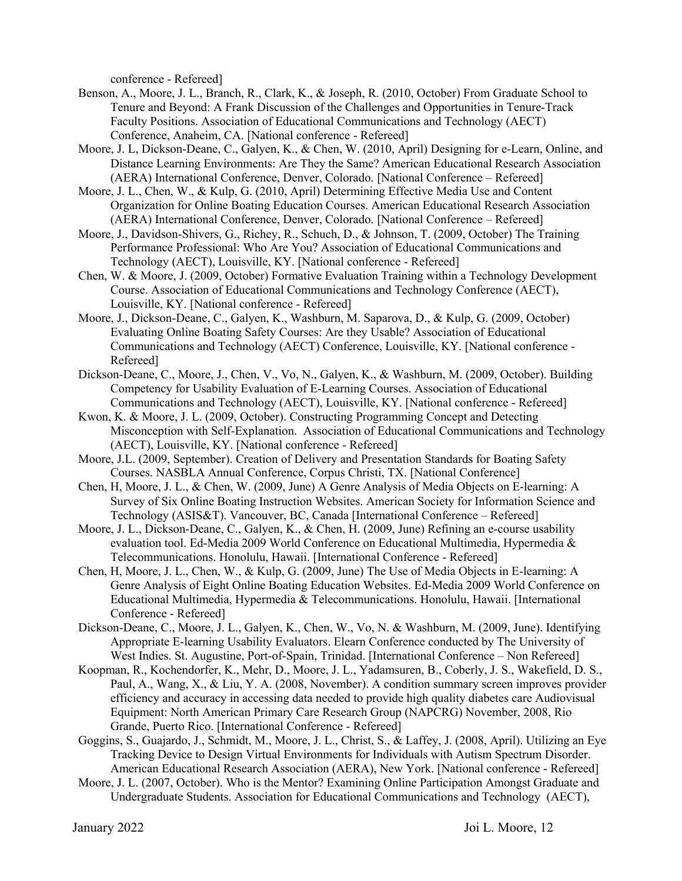conference - Refereed]

- Benson, A., Moore, J. L., Branch, R., Clark, K., & Joseph, R. (2010, October) From Graduate School to Tenure and Beyond: A Frank Discussion of the Challenges and Opportunities in Tenure-Track Faculty Positions. Association of Educational Communications and Technology (AECT) Conference, Anaheim, CA. [National conference - Refereed]
- Moore, J. L, Dickson-Deane, C., Galyen, K., & Chen, W. (2010, April) Designing for e-Learn, Online, and Distance Learning Environments: Are They the Same? American Educational Research Association (AERA) International Conference, Denver, Colorado. [National Conference – Refereed]
- Moore, J. L., Chen, W., & Kulp, G. (2010, April) Determining Effective Media Use and Content Organization for Online Boating Education Courses. American Educational Research Association (AERA) International Conference, Denver, Colorado. [National Conference – Refereed]
- Moore, J., Davidson-Shivers, G., Richey, R., Schuch, D., & Johnson, T. (2009, October) The Training Performance Professional: Who Are You? Association of Educational Communications and Technology (AECT), Louisville, KY. [National conference - Refereed]
- Chen, W. & Moore, J. (2009, October) Formative Evaluation Training within a Technology Development Course. Association of Educational Communications and Technology Conference (AECT), Louisville, KY. [National conference - Refereed]
- Moore, J., Dickson-Deane, C., Galyen, K., Washburn, M. Saparova, D., & Kulp, G. (2009, October) Evaluating Online Boating Safety Courses: Are they Usable? Association of Educational Communications and Technology (AECT) Conference, Louisville, KY. [National conference - Refereed]
- Dickson-Deane, C., Moore, J., Chen, V., Vo, N., Galyen, K., & Washburn, M. (2009, October). Building Competency for Usability Evaluation of E-Learning Courses. Association of Educational Communications and Technology (AECT), Louisville, KY. [National conference - Refereed]
- Kwon, K. & Moore, J. L. (2009, October). Constructing Programming Concept and Detecting Misconception with Self-Explanation. Association of Educational Communications and Technology (AECT), Louisville, KY. [National conference - Refereed]
- Moore, J.L. (2009, September). Creation of Delivery and Presentation Standards for Boating Safety Courses. NASBLA Annual Conference, Corpus Christi, TX. [National Conference]
- Chen, H, Moore, J. L., & Chen, W. (2009, June) A Genre Analysis of Media Objects on E-learning: A Survey of Six Online Boating Instruction Websites. American Society for Information Science and Technology (ASIS&T). Vancouver, BC, Canada [International Conference – Refereed]
- Moore, J. L., Dickson-Deane, C., Galyen, K., & Chen, H. (2009, June) Refining an e-course usability evaluation tool. Ed-Media 2009 World Conference on Educational Multimedia, Hypermedia & Telecommunications. Honolulu, Hawaii. [International Conference - Refereed]
- Chen, H, Moore, J. L., Chen, W., & Kulp, G. (2009, June) The Use of Media Objects in E-learning: A Genre Analysis of Eight Online Boating Education Websites. Ed-Media 2009 World Conference on Educational Multimedia, Hypermedia & Telecommunications. Honolulu, Hawaii. [International Conference - Refereed]
- Dickson-Deane, C., Moore, J. L., Galyen, K., Chen, W., Vo, N. & Washburn, M. (2009, June). Identifying Appropriate E-learning Usability Evaluators. Elearn Conference conducted by The University of West Indies. St. Augustine, Port-of-Spain, Trinidad. [International Conference – Non Refereed]
- Koopman, R., Kochendorfer, K., Mehr, D., Moore, J. L., Yadamsuren, B., Coberly, J. S., Wakefield, D. S., Paul, A., Wang, X., & Liu, Y. A. (2008, November). A condition summary screen improves provider efficiency and accuracy in accessing data needed to provide high quality diabetes care Audiovisual Equipment: North American Primary Care Research Group (NAPCRG) November, 2008, Rio Grande, Puerto Rico. [International Conference - Refereed]
- Goggins, S., Guajardo, J., Schmidt, M., Moore, J. L., Christ, S., & Laffey, J. (2008, April). Utilizing an Eye Tracking Device to Design Virtual Environments for Individuals with Autism Spectrum Disorder. American Educational Research Association (AERA), New York. [National conference - Refereed]
- Moore, J. L. (2007, October). Who is the Mentor? Examining Online Participation Amongst Graduate and Undergraduate Students. Association for Educational Communications and Technology (AECT),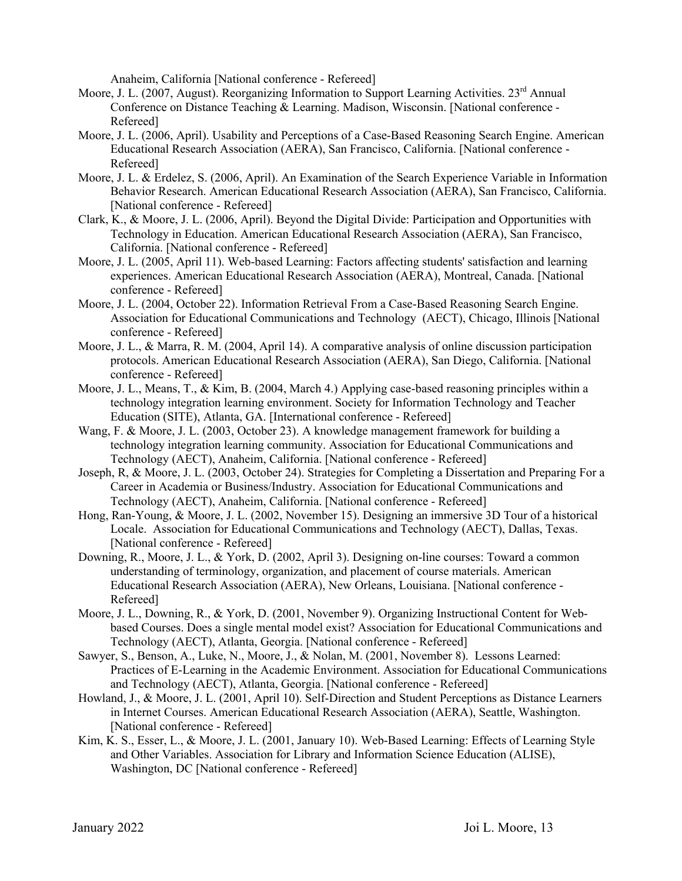Anaheim, California [National conference - Refereed]

- Moore, J. L. (2007, August). Reorganizing Information to Support Learning Activities. 23<sup>rd</sup> Annual Conference on Distance Teaching & Learning. Madison, Wisconsin. [National conference - Refereed]
- Moore, J. L. (2006, April). Usability and Perceptions of a Case-Based Reasoning Search Engine. American Educational Research Association (AERA), San Francisco, California. [National conference - Refereed]
- Moore, J. L. & Erdelez, S. (2006, April). An Examination of the Search Experience Variable in Information Behavior Research. American Educational Research Association (AERA), San Francisco, California. [National conference - Refereed]
- Clark, K., & Moore, J. L. (2006, April). Beyond the Digital Divide: Participation and Opportunities with Technology in Education. American Educational Research Association (AERA), San Francisco, California. [National conference - Refereed]
- Moore, J. L. (2005, April 11). Web-based Learning: Factors affecting students' satisfaction and learning experiences. American Educational Research Association (AERA), Montreal, Canada. [National conference - Refereed]
- Moore, J. L. (2004, October 22). Information Retrieval From a Case-Based Reasoning Search Engine. Association for Educational Communications and Technology (AECT), Chicago, Illinois [National conference - Refereed]
- Moore, J. L., & Marra, R. M. (2004, April 14). A comparative analysis of online discussion participation protocols. American Educational Research Association (AERA), San Diego, California. [National conference - Refereed]
- Moore, J. L., Means, T., & Kim, B. (2004, March 4.) Applying case-based reasoning principles within a technology integration learning environment. Society for Information Technology and Teacher Education (SITE), Atlanta, GA. [International conference - Refereed]
- Wang, F. & Moore, J. L. (2003, October 23). A knowledge management framework for building a technology integration learning community. Association for Educational Communications and Technology (AECT), Anaheim, California. [National conference - Refereed]
- Joseph, R, & Moore, J. L. (2003, October 24). Strategies for Completing a Dissertation and Preparing For a Career in Academia or Business/Industry. Association for Educational Communications and Technology (AECT), Anaheim, California. [National conference - Refereed]

Hong, Ran-Young, & Moore, J. L. (2002, November 15). Designing an immersive 3D Tour of a historical Locale. Association for Educational Communications and Technology (AECT), Dallas, Texas. [National conference - Refereed]

- Downing, R., Moore, J. L., & York, D. (2002, April 3). Designing on-line courses: Toward a common understanding of terminology, organization, and placement of course materials. American Educational Research Association (AERA), New Orleans, Louisiana. [National conference - Refereed]
- Moore, J. L., Downing, R., & York, D. (2001, November 9). Organizing Instructional Content for Webbased Courses. Does a single mental model exist? Association for Educational Communications and Technology (AECT), Atlanta, Georgia. [National conference - Refereed]
- Sawyer, S., Benson, A., Luke, N., Moore, J., & Nolan, M. (2001, November 8). Lessons Learned: Practices of E-Learning in the Academic Environment. Association for Educational Communications and Technology (AECT), Atlanta, Georgia. [National conference - Refereed]
- Howland, J., & Moore, J. L. (2001, April 10). Self-Direction and Student Perceptions as Distance Learners in Internet Courses. American Educational Research Association (AERA), Seattle, Washington. [National conference - Refereed]
- Kim, K. S., Esser, L., & Moore, J. L. (2001, January 10). Web-Based Learning: Effects of Learning Style and Other Variables. Association for Library and Information Science Education (ALISE), Washington, DC [National conference - Refereed]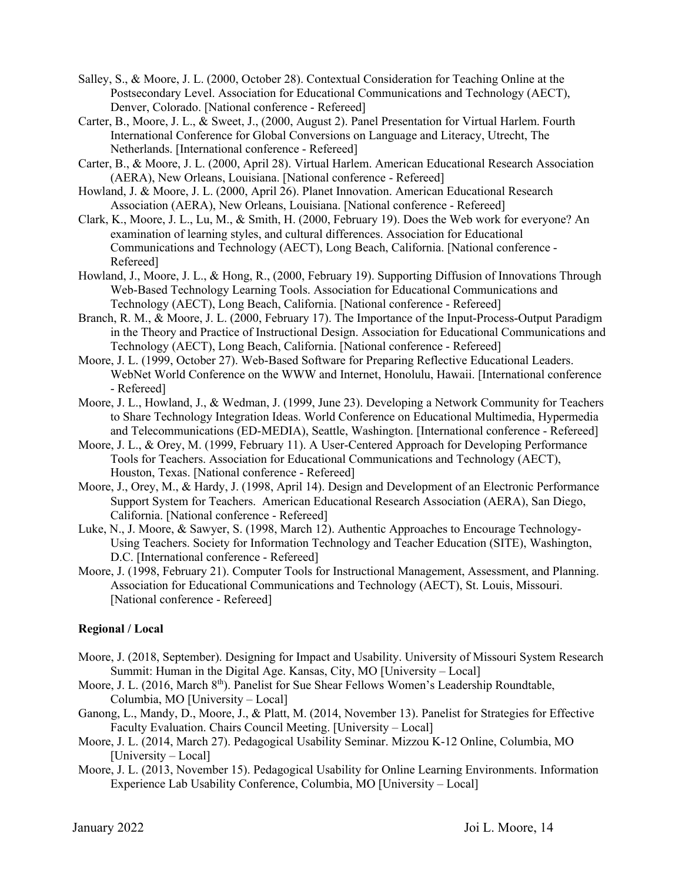- Salley, S., & Moore, J. L. (2000, October 28). Contextual Consideration for Teaching Online at the Postsecondary Level. Association for Educational Communications and Technology (AECT), Denver, Colorado. [National conference - Refereed]
- Carter, B., Moore, J. L., & Sweet, J., (2000, August 2). Panel Presentation for Virtual Harlem. Fourth International Conference for Global Conversions on Language and Literacy, Utrecht, The Netherlands. [International conference - Refereed]
- Carter, B., & Moore, J. L. (2000, April 28). Virtual Harlem. American Educational Research Association (AERA), New Orleans, Louisiana. [National conference - Refereed]
- Howland, J. & Moore, J. L. (2000, April 26). Planet Innovation. American Educational Research Association (AERA), New Orleans, Louisiana. [National conference - Refereed]
- Clark, K., Moore, J. L., Lu, M., & Smith, H. (2000, February 19). Does the Web work for everyone? An examination of learning styles, and cultural differences. Association for Educational Communications and Technology (AECT), Long Beach, California. [National conference - Refereed]
- Howland, J., Moore, J. L., & Hong, R., (2000, February 19). Supporting Diffusion of Innovations Through Web-Based Technology Learning Tools. Association for Educational Communications and Technology (AECT), Long Beach, California. [National conference - Refereed]
- Branch, R. M., & Moore, J. L. (2000, February 17). The Importance of the Input-Process-Output Paradigm in the Theory and Practice of Instructional Design. Association for Educational Communications and Technology (AECT), Long Beach, California. [National conference - Refereed]
- Moore, J. L. (1999, October 27). Web-Based Software for Preparing Reflective Educational Leaders. WebNet World Conference on the WWW and Internet, Honolulu, Hawaii. [International conference - Refereed]
- Moore, J. L., Howland, J., & Wedman, J. (1999, June 23). Developing a Network Community for Teachers to Share Technology Integration Ideas. World Conference on Educational Multimedia, Hypermedia and Telecommunications (ED-MEDIA), Seattle, Washington. [International conference - Refereed]
- Moore, J. L., & Orey, M. (1999, February 11). A User-Centered Approach for Developing Performance Tools for Teachers. Association for Educational Communications and Technology (AECT), Houston, Texas. [National conference - Refereed]
- Moore, J., Orey, M., & Hardy, J. (1998, April 14). Design and Development of an Electronic Performance Support System for Teachers. American Educational Research Association (AERA), San Diego, California. [National conference - Refereed]
- Luke, N., J. Moore, & Sawyer, S. (1998, March 12). Authentic Approaches to Encourage Technology-Using Teachers. Society for Information Technology and Teacher Education (SITE), Washington, D.C. [International conference - Refereed]
- Moore, J. (1998, February 21). Computer Tools for Instructional Management, Assessment, and Planning. Association for Educational Communications and Technology (AECT), St. Louis, Missouri. [National conference - Refereed]

#### **Regional / Local**

- Moore, J. (2018, September). Designing for Impact and Usability. University of Missouri System Research Summit: Human in the Digital Age. Kansas, City, MO [University – Local]
- Moore, J. L. (2016, March 8<sup>th</sup>). Panelist for Sue Shear Fellows Women's Leadership Roundtable, Columbia, MO [University – Local]
- Ganong, L., Mandy, D., Moore, J., & Platt, M. (2014, November 13). Panelist for Strategies for Effective Faculty Evaluation. Chairs Council Meeting. [University – Local]
- Moore, J. L. (2014, March 27). Pedagogical Usability Seminar. Mizzou K-12 Online, Columbia, MO [University – Local]
- Moore, J. L. (2013, November 15). Pedagogical Usability for Online Learning Environments. Information Experience Lab Usability Conference, Columbia, MO [University – Local]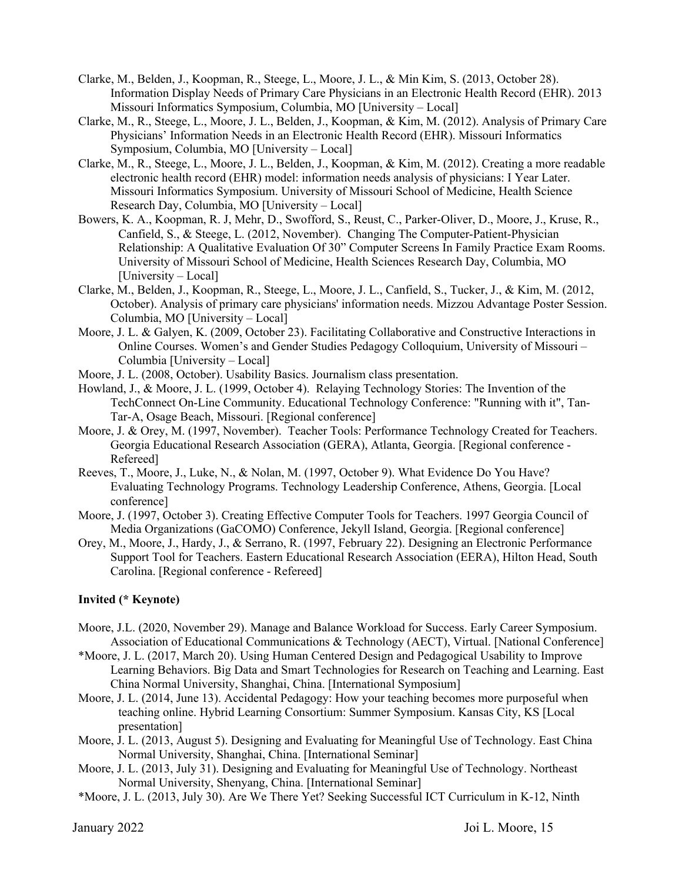- Clarke, M., Belden, J., Koopman, R., Steege, L., Moore, J. L., & Min Kim, S. (2013, October 28). Information Display Needs of Primary Care Physicians in an Electronic Health Record (EHR). 2013 Missouri Informatics Symposium, Columbia, MO [University – Local]
- Clarke, M., R., Steege, L., Moore, J. L., Belden, J., Koopman, & Kim, M. (2012). Analysis of Primary Care Physicians' Information Needs in an Electronic Health Record (EHR). Missouri Informatics Symposium, Columbia, MO [University – Local]
- Clarke, M., R., Steege, L., Moore, J. L., Belden, J., Koopman, & Kim, M. (2012). Creating a more readable electronic health record (EHR) model: information needs analysis of physicians: I Year Later. Missouri Informatics Symposium. University of Missouri School of Medicine, Health Science Research Day, Columbia, MO [University – Local]
- Bowers, K. A., Koopman, R. J, Mehr, D., Swofford, S., Reust, C., Parker-Oliver, D., Moore, J., Kruse, R., Canfield, S., & Steege, L. (2012, November). Changing The Computer-Patient-Physician Relationship: A Qualitative Evaluation Of 30" Computer Screens In Family Practice Exam Rooms. University of Missouri School of Medicine, Health Sciences Research Day, Columbia, MO [University – Local]
- Clarke, M., Belden, J., Koopman, R., Steege, L., Moore, J. L., Canfield, S., Tucker, J., & Kim, M. (2012, October). Analysis of primary care physicians' information needs. Mizzou Advantage Poster Session. Columbia, MO [University – Local]
- Moore, J. L. & Galyen, K. (2009, October 23). Facilitating Collaborative and Constructive Interactions in Online Courses. Women's and Gender Studies Pedagogy Colloquium, University of Missouri – Columbia [University – Local]
- Moore, J. L. (2008, October). Usability Basics. Journalism class presentation.
- Howland, J., & Moore, J. L. (1999, October 4). Relaying Technology Stories: The Invention of the TechConnect On-Line Community. Educational Technology Conference: "Running with it", Tan-Tar-A, Osage Beach, Missouri. [Regional conference]
- Moore, J. & Orey, M. (1997, November). Teacher Tools: Performance Technology Created for Teachers. Georgia Educational Research Association (GERA), Atlanta, Georgia. [Regional conference - Refereed]
- Reeves, T., Moore, J., Luke, N., & Nolan, M. (1997, October 9). What Evidence Do You Have? Evaluating Technology Programs. Technology Leadership Conference, Athens, Georgia. [Local conference]
- Moore, J. (1997, October 3). Creating Effective Computer Tools for Teachers. 1997 Georgia Council of Media Organizations (GaCOMO) Conference, Jekyll Island, Georgia. [Regional conference]
- Orey, M., Moore, J., Hardy, J., & Serrano, R. (1997, February 22). Designing an Electronic Performance Support Tool for Teachers. Eastern Educational Research Association (EERA), Hilton Head, South Carolina. [Regional conference - Refereed]

#### **Invited (\* Keynote)**

- Moore, J.L. (2020, November 29). Manage and Balance Workload for Success. Early Career Symposium. Association of Educational Communications & Technology (AECT), Virtual. [National Conference]
- \*Moore, J. L. (2017, March 20). Using Human Centered Design and Pedagogical Usability to Improve Learning Behaviors. Big Data and Smart Technologies for Research on Teaching and Learning. East China Normal University, Shanghai, China. [International Symposium]
- Moore, J. L. (2014, June 13). Accidental Pedagogy: How your teaching becomes more purposeful when teaching online. Hybrid Learning Consortium: Summer Symposium. Kansas City, KS [Local presentation]
- Moore, J. L. (2013, August 5). Designing and Evaluating for Meaningful Use of Technology. East China Normal University, Shanghai, China. [International Seminar]
- Moore, J. L. (2013, July 31). Designing and Evaluating for Meaningful Use of Technology. Northeast Normal University, Shenyang, China. [International Seminar]
- \*Moore, J. L. (2013, July 30). Are We There Yet? Seeking Successful ICT Curriculum in K-12, Ninth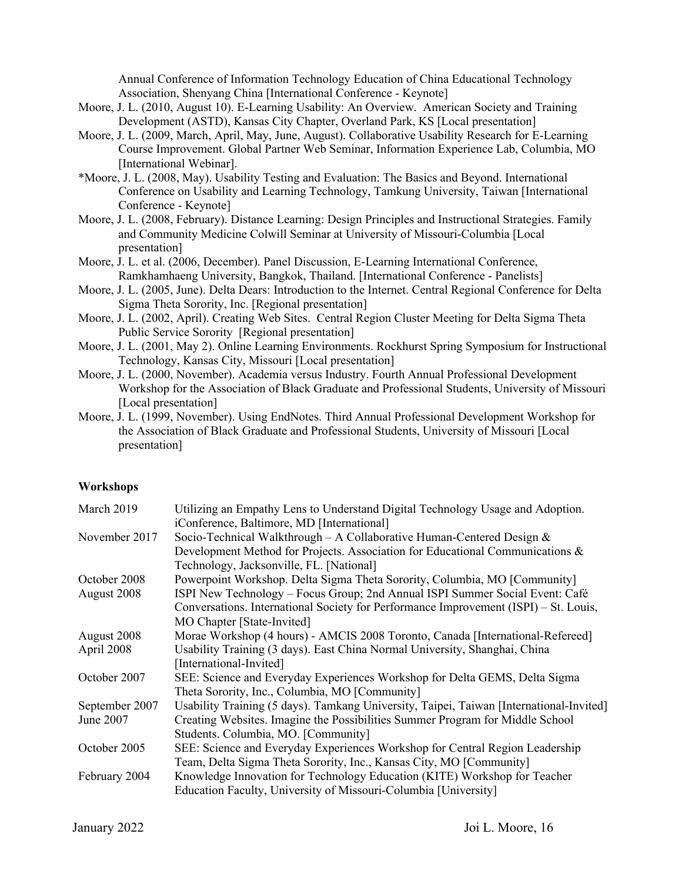Annual Conference of Information Technology Education of China Educational Technology Association, Shenyang China [International Conference - Keynote]

- Moore, J. L. (2010, August 10). E-Learning Usability: An Overview. American Society and Training Development (ASTD), Kansas City Chapter, Overland Park, KS [Local presentation]
- Moore, J. L. (2009, March, April, May, June, August). Collaborative Usability Research for E-Learning Course Improvement. Global Partner Web Seminar, Information Experience Lab, Columbia, MO [International Webinar].
- \*Moore, J. L. (2008, May). Usability Testing and Evaluation: The Basics and Beyond. International Conference on Usability and Learning Technology, Tamkung University, Taiwan [International Conference - Keynote]
- Moore, J. L. (2008, February). Distance Learning: Design Principles and Instructional Strategies. Family and Community Medicine Colwill Seminar at University of Missouri-Columbia [Local presentation]
- Moore, J. L. et al. (2006, December). Panel Discussion, E-Learning International Conference, Ramkhamhaeng University, Bangkok, Thailand. [International Conference - Panelists]
- Moore, J. L. (2005, June). Delta Dears: Introduction to the Internet. Central Regional Conference for Delta Sigma Theta Sorority, Inc. [Regional presentation]
- Moore, J. L. (2002, April). Creating Web Sites. Central Region Cluster Meeting for Delta Sigma Theta Public Service Sorority [Regional presentation]
- Moore, J. L. (2001, May 2). Online Learning Environments. Rockhurst Spring Symposium for Instructional Technology, Kansas City, Missouri [Local presentation]
- Moore, J. L. (2000, November). Academia versus Industry. Fourth Annual Professional Development Workshop for the Association of Black Graduate and Professional Students, University of Missouri [Local presentation]
- Moore, J. L. (1999, November). Using EndNotes. Third Annual Professional Development Workshop for the Association of Black Graduate and Professional Students, University of Missouri [Local presentation]

#### **Workshops**

| March 2019     | Utilizing an Empathy Lens to Understand Digital Technology Usage and Adoption.          |
|----------------|-----------------------------------------------------------------------------------------|
|                | iConference, Baltimore, MD [International]                                              |
| November 2017  | Socio-Technical Walkthrough – A Collaborative Human-Centered Design $\&$                |
|                | Development Method for Projects. Association for Educational Communications &           |
|                | Technology, Jacksonville, FL. [National]                                                |
| October 2008   | Powerpoint Workshop. Delta Sigma Theta Sorority, Columbia, MO [Community]               |
| August 2008    | ISPI New Technology – Focus Group; 2nd Annual ISPI Summer Social Event: Café            |
|                | Conversations. International Society for Performance Improvement (ISPI) – St. Louis,    |
|                | MO Chapter [State-Invited]                                                              |
| August 2008    | Morae Workshop (4 hours) - AMCIS 2008 Toronto, Canada [International-Refereed]          |
| April 2008     | Usability Training (3 days). East China Normal University, Shanghai, China              |
|                | [International-Invited]                                                                 |
| October 2007   | SEE: Science and Everyday Experiences Workshop for Delta GEMS, Delta Sigma              |
|                | Theta Sorority, Inc., Columbia, MO [Community]                                          |
| September 2007 | Usability Training (5 days). Tamkang University, Taipei, Taiwan [International-Invited] |
| June 2007      | Creating Websites. Imagine the Possibilities Summer Program for Middle School           |
|                | Students. Columbia, MO. [Community]                                                     |
| October 2005   | SEE: Science and Everyday Experiences Workshop for Central Region Leadership            |
|                | Team, Delta Sigma Theta Sorority, Inc., Kansas City, MO [Community]                     |
| February 2004  | Knowledge Innovation for Technology Education (KITE) Workshop for Teacher               |
|                | Education Faculty, University of Missouri-Columbia [University]                         |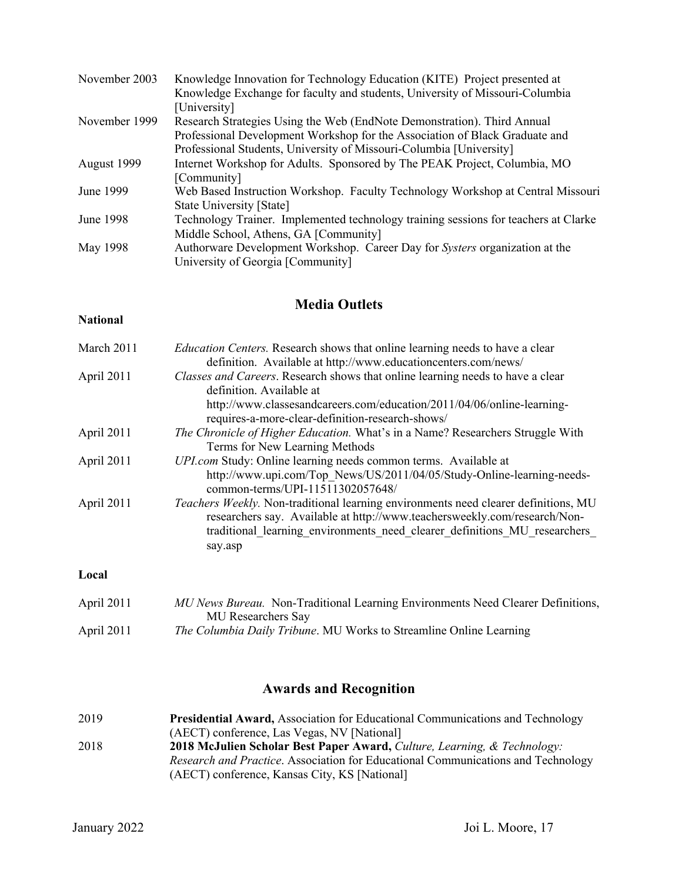| November 2003 | Knowledge Innovation for Technology Education (KITE) Project presented at           |
|---------------|-------------------------------------------------------------------------------------|
|               | Knowledge Exchange for faculty and students, University of Missouri-Columbia        |
|               | [University]                                                                        |
| November 1999 | Research Strategies Using the Web (EndNote Demonstration). Third Annual             |
|               | Professional Development Workshop for the Association of Black Graduate and         |
|               | Professional Students, University of Missouri-Columbia [University]                 |
| August 1999   | Internet Workshop for Adults. Sponsored by The PEAK Project, Columbia, MO           |
|               | [Community]                                                                         |
| June 1999     | Web Based Instruction Workshop. Faculty Technology Workshop at Central Missouri     |
|               | State University [State]                                                            |
| June 1998     | Technology Trainer. Implemented technology training sessions for teachers at Clarke |
|               | Middle School, Athens, GA [Community]                                               |
| May 1998      | Authorware Development Workshop. Career Day for Systers organization at the         |
|               | University of Georgia [Community]                                                   |
|               |                                                                                     |

## **Media Outlets**

## **National**

| March 2011   | <i>Education Centers.</i> Research shows that online learning needs to have a clear<br>definition. Available at http://www.educationcenters.com/news/                                                                                                           |
|--------------|-----------------------------------------------------------------------------------------------------------------------------------------------------------------------------------------------------------------------------------------------------------------|
| April 2011   | Classes and Careers. Research shows that online learning needs to have a clear<br>definition. Available at<br>http://www.classesandcareers.com/education/2011/04/06/online-learning-<br>requires-a-more-clear-definition-research-shows/                        |
| April 2011   | The Chronicle of Higher Education. What's in a Name? Researchers Struggle With<br>Terms for New Learning Methods                                                                                                                                                |
| April 2011   | UPI.com Study: Online learning needs common terms. Available at<br>http://www.upi.com/Top News/US/2011/04/05/Study-Online-learning-needs-<br>common-terms/UPI-11511302057648/                                                                                   |
| April 2011   | <i>Teachers Weekly.</i> Non-traditional learning environments need clearer definitions, MU<br>researchers say. Available at http://www.teachersweekly.com/research/Non-<br>traditional learning environments need clearer definitions MU researchers<br>say.asp |
| Local        |                                                                                                                                                                                                                                                                 |
| April $2011$ | MII News Rureau Non-Traditional Learning Environments Need Clearer Definitions                                                                                                                                                                                  |

| April 2011 | MU News Bureau. Non-Traditional Learning Environments Need Clearer Definitions, |
|------------|---------------------------------------------------------------------------------|
|            | <b>MU</b> Researchers Say                                                       |
| April 2011 | The Columbia Daily Tribune. MU Works to Streamline Online Learning              |

## **Awards and Recognition**

| 2019 | <b>Presidential Award, Association for Educational Communications and Technology</b> |
|------|--------------------------------------------------------------------------------------|
|      | (AECT) conference, Las Vegas, NV [National]                                          |
| 2018 | 2018 McJulien Scholar Best Paper Award, Culture, Learning, & Technology:             |
|      | Research and Practice. Association for Educational Communications and Technology     |
|      | (AECT) conference, Kansas City, KS [National]                                        |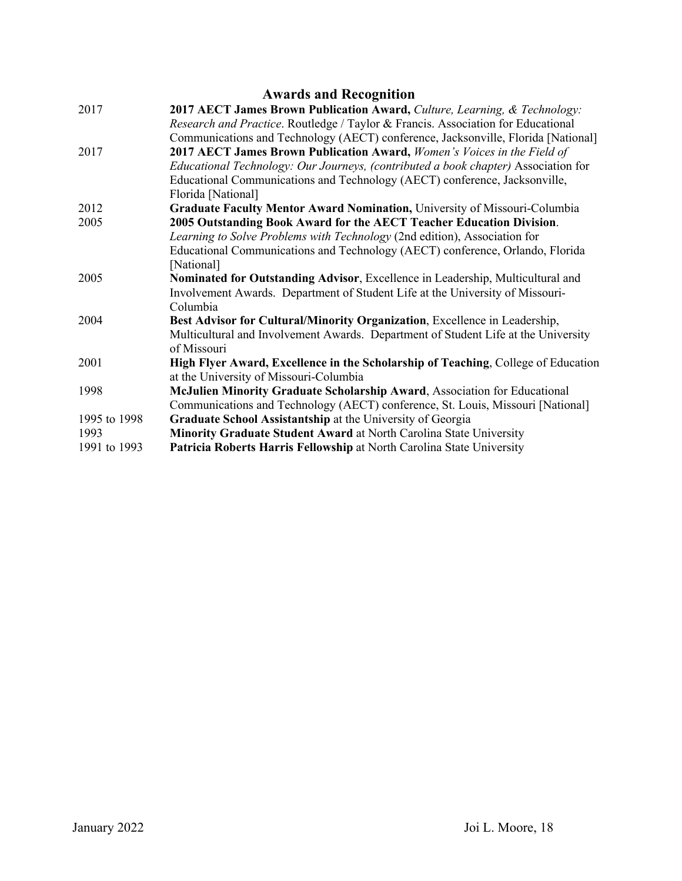|              | <b>Awards and Recognition</b>                                                           |
|--------------|-----------------------------------------------------------------------------------------|
| 2017         | 2017 AECT James Brown Publication Award, Culture, Learning, & Technology:               |
|              | <i>Research and Practice.</i> Routledge / Taylor & Francis. Association for Educational |
|              | Communications and Technology (AECT) conference, Jacksonville, Florida [National]       |
| 2017         | 2017 AECT James Brown Publication Award, Women's Voices in the Field of                 |
|              | Educational Technology: Our Journeys, (contributed a book chapter) Association for      |
|              | Educational Communications and Technology (AECT) conference, Jacksonville,              |
|              | Florida [National]                                                                      |
| 2012         | Graduate Faculty Mentor Award Nomination, University of Missouri-Columbia               |
| 2005         | 2005 Outstanding Book Award for the AECT Teacher Education Division.                    |
|              | Learning to Solve Problems with Technology (2nd edition), Association for               |
|              | Educational Communications and Technology (AECT) conference, Orlando, Florida           |
|              | [National]                                                                              |
| 2005         | Nominated for Outstanding Advisor, Excellence in Leadership, Multicultural and          |
|              | Involvement Awards. Department of Student Life at the University of Missouri-           |
|              | Columbia                                                                                |
| 2004         | Best Advisor for Cultural/Minority Organization, Excellence in Leadership,              |
|              | Multicultural and Involvement Awards. Department of Student Life at the University      |
|              | of Missouri                                                                             |
| 2001         | High Flyer Award, Excellence in the Scholarship of Teaching, College of Education       |
|              | at the University of Missouri-Columbia                                                  |
| 1998         | McJulien Minority Graduate Scholarship Award, Association for Educational               |
|              | Communications and Technology (AECT) conference, St. Louis, Missouri [National]         |
| 1995 to 1998 | Graduate School Assistantship at the University of Georgia                              |
| 1993         | Minority Graduate Student Award at North Carolina State University                      |
| 1991 to 1993 | Patricia Roberts Harris Fellowship at North Carolina State University                   |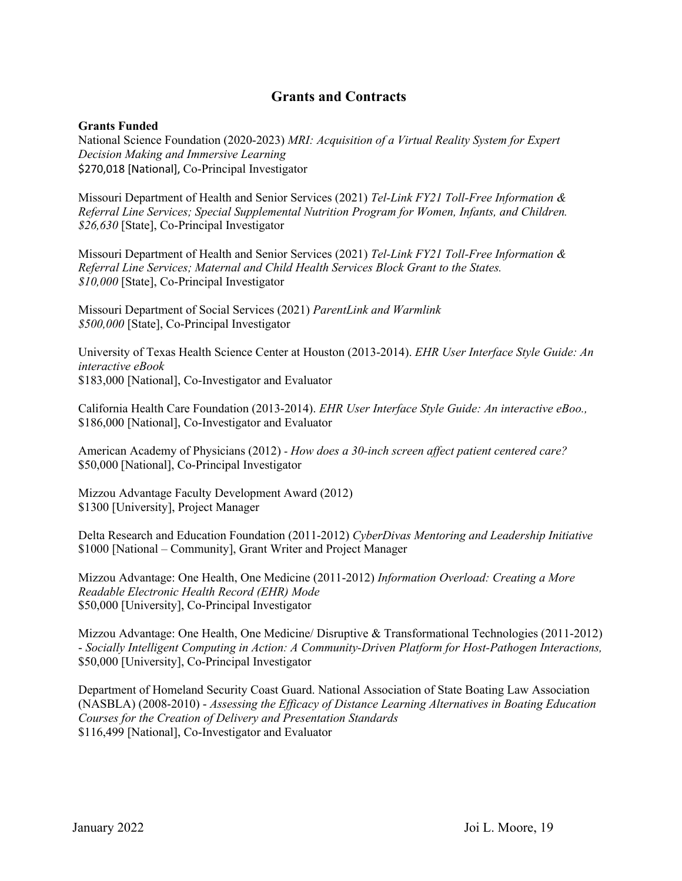## **Grants and Contracts**

#### **Grants Funded**

National Science Foundation (2020-2023) *MRI: Acquisition of a Virtual Reality System for Expert Decision Making and Immersive Learning* \$270,018 [National], Co-Principal Investigator

Missouri Department of Health and Senior Services (2021) *Tel-Link FY21 Toll-Free Information & Referral Line Services; Special Supplemental Nutrition Program for Women, Infants, and Children. \$26,630* [State], Co-Principal Investigator

Missouri Department of Health and Senior Services (2021) *Tel-Link FY21 Toll-Free Information & Referral Line Services; Maternal and Child Health Services Block Grant to the States. \$10,000* [State], Co-Principal Investigator

Missouri Department of Social Services (2021) *ParentLink and Warmlink \$500,000* [State], Co-Principal Investigator

University of Texas Health Science Center at Houston (2013-2014). *EHR User Interface Style Guide: An interactive eBook* \$183,000 [National], Co-Investigator and Evaluator

California Health Care Foundation (2013-2014). *EHR User Interface Style Guide: An interactive eBoo.,*  \$186,000 [National], Co-Investigator and Evaluator

American Academy of Physicians (2012) - *How does a 30-inch screen affect patient centered care?* \$50,000 [National], Co-Principal Investigator

Mizzou Advantage Faculty Development Award (2012) \$1300 [University], Project Manager

Delta Research and Education Foundation (2011-2012) *CyberDivas Mentoring and Leadership Initiative* \$1000 [National – Community], Grant Writer and Project Manager

Mizzou Advantage: One Health, One Medicine (2011-2012) *Information Overload: Creating a More Readable Electronic Health Record (EHR) Mode*  \$50,000 [University], Co-Principal Investigator

Mizzou Advantage: One Health, One Medicine/ Disruptive & Transformational Technologies (2011-2012) - *Socially Intelligent Computing in Action: A Community-Driven Platform for Host-Pathogen Interactions,*  \$50,000 [University], Co-Principal Investigator

Department of Homeland Security Coast Guard. National Association of State Boating Law Association (NASBLA) (2008-2010) - *Assessing the Efficacy of Distance Learning Alternatives in Boating Education Courses for the Creation of Delivery and Presentation Standards* \$116,499 [National], Co-Investigator and Evaluator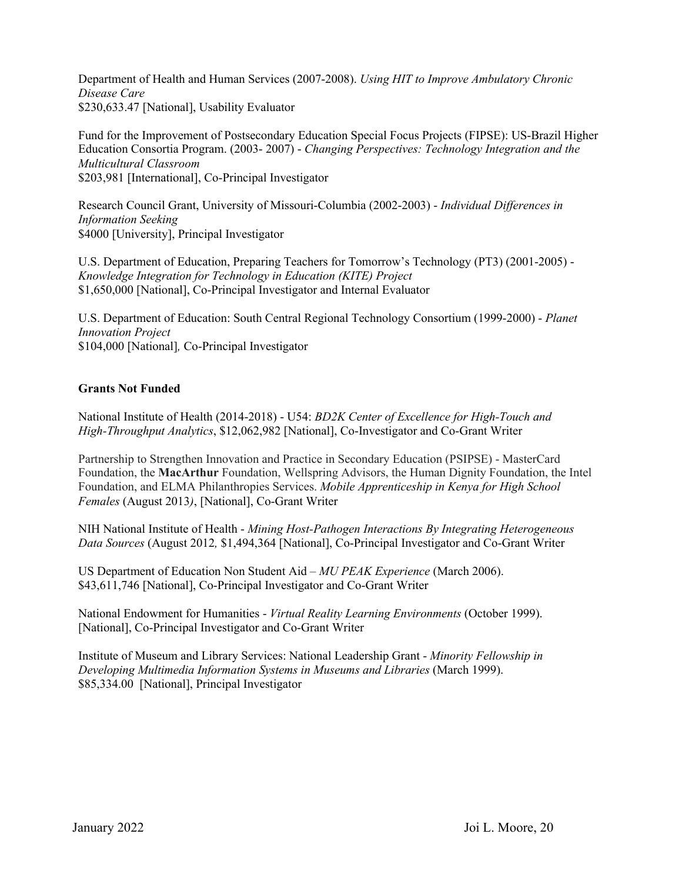Department of Health and Human Services (2007-2008). *Using HIT to Improve Ambulatory Chronic Disease Care* \$230,633.47 [National], Usability Evaluator

Fund for the Improvement of Postsecondary Education Special Focus Projects (FIPSE): US-Brazil Higher Education Consortia Program. (2003- 2007) - *Changing Perspectives: Technology Integration and the Multicultural Classroom*  \$203,981 [International], Co-Principal Investigator

Research Council Grant, University of Missouri-Columbia (2002-2003) - *Individual Differences in Information Seeking*  \$4000 [University], Principal Investigator

U.S. Department of Education, Preparing Teachers for Tomorrow's Technology (PT3) (2001-2005) - *Knowledge Integration for Technology in Education (KITE) Project* \$1,650,000 [National], Co-Principal Investigator and Internal Evaluator

U.S. Department of Education: South Central Regional Technology Consortium (1999-2000) - *Planet Innovation Project* \$104,000 [National]*,* Co-Principal Investigator

#### **Grants Not Funded**

National Institute of Health (2014-2018) - U54: *BD2K Center of Excellence for High-Touch and High-Throughput Analytics*, \$12,062,982 [National], Co-Investigator and Co-Grant Writer

Partnership to Strengthen Innovation and Practice in Secondary Education (PSIPSE) - MasterCard Foundation, the **MacArthur** Foundation, Wellspring Advisors, the Human Dignity Foundation, the Intel Foundation, and ELMA Philanthropies Services. *Mobile Apprenticeship in Kenya for High School Females* (August 2013*)*, [National], Co-Grant Writer

NIH National Institute of Health - *Mining Host-Pathogen Interactions By Integrating Heterogeneous Data Sources* (August 2012*,* \$1,494,364 [National], Co-Principal Investigator and Co-Grant Writer

US Department of Education Non Student Aid – *MU PEAK Experience* (March 2006). \$43,611,746 [National], Co-Principal Investigator and Co-Grant Writer

National Endowment for Humanities - *Virtual Reality Learning Environments* (October 1999). [National], Co-Principal Investigator and Co-Grant Writer

Institute of Museum and Library Services: National Leadership Grant - *Minority Fellowship in Developing Multimedia Information Systems in Museums and Libraries* (March 1999). \$85,334.00 [National], Principal Investigator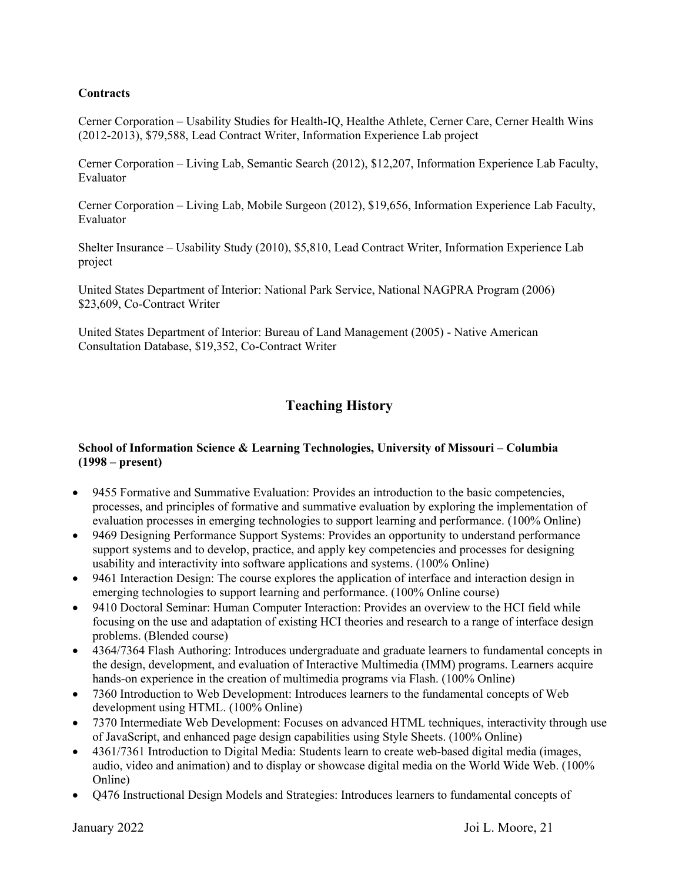#### **Contracts**

Cerner Corporation – Usability Studies for Health-IQ, Healthe Athlete, Cerner Care, Cerner Health Wins (2012-2013), \$79,588, Lead Contract Writer, Information Experience Lab project

Cerner Corporation – Living Lab, Semantic Search (2012), \$12,207, Information Experience Lab Faculty, Evaluator

Cerner Corporation – Living Lab, Mobile Surgeon (2012), \$19,656, Information Experience Lab Faculty, Evaluator

Shelter Insurance – Usability Study (2010), \$5,810, Lead Contract Writer, Information Experience Lab project

United States Department of Interior: National Park Service, National NAGPRA Program (2006) \$23,609, Co-Contract Writer

United States Department of Interior: Bureau of Land Management (2005) - Native American Consultation Database, \$19,352, Co-Contract Writer

## **Teaching History**

#### **School of Information Science & Learning Technologies, University of Missouri – Columbia (1998 – present)**

- 9455 Formative and Summative Evaluation: Provides an introduction to the basic competencies, processes, and principles of formative and summative evaluation by exploring the implementation of evaluation processes in emerging technologies to support learning and performance. (100% Online)
- 9469 Designing Performance Support Systems: Provides an opportunity to understand performance support systems and to develop, practice, and apply key competencies and processes for designing usability and interactivity into software applications and systems. (100% Online)
- 9461 Interaction Design: The course explores the application of interface and interaction design in emerging technologies to support learning and performance. (100% Online course)
- 9410 Doctoral Seminar: Human Computer Interaction: Provides an overview to the HCI field while focusing on the use and adaptation of existing HCI theories and research to a range of interface design problems. (Blended course)
- 4364/7364 Flash Authoring: Introduces undergraduate and graduate learners to fundamental concepts in the design, development, and evaluation of Interactive Multimedia (IMM) programs. Learners acquire hands-on experience in the creation of multimedia programs via Flash. (100% Online)
- 7360 Introduction to Web Development: Introduces learners to the fundamental concepts of Web development using HTML. (100% Online)
- 7370 Intermediate Web Development: Focuses on advanced HTML techniques, interactivity through use of JavaScript, and enhanced page design capabilities using Style Sheets. (100% Online)
- 4361/7361 Introduction to Digital Media: Students learn to create web-based digital media (images, audio, video and animation) and to display or showcase digital media on the World Wide Web. (100% Online)
- Q476 Instructional Design Models and Strategies: Introduces learners to fundamental concepts of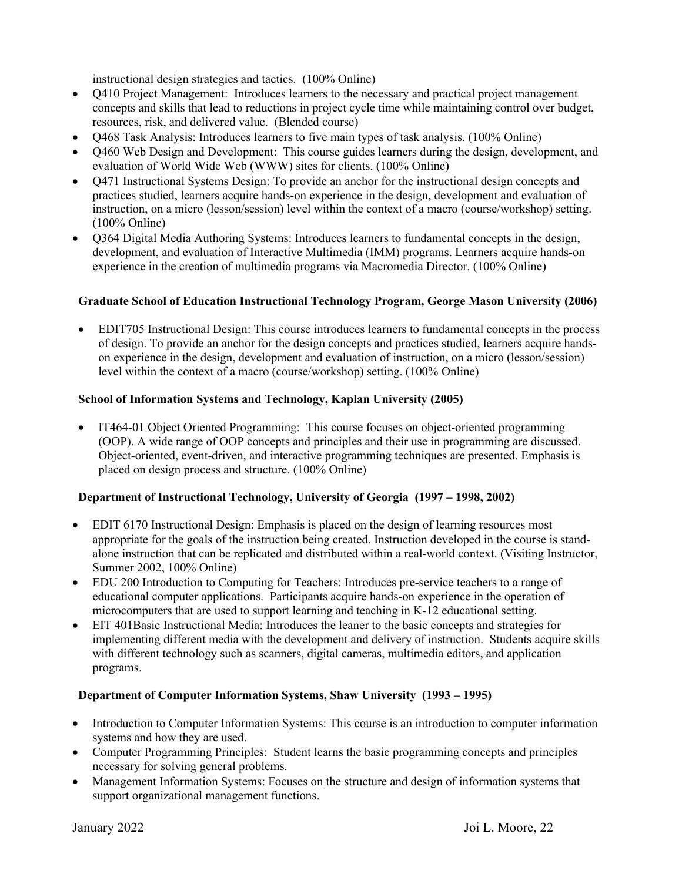instructional design strategies and tactics. (100% Online)

- O410 Project Management: Introduces learners to the necessary and practical project management concepts and skills that lead to reductions in project cycle time while maintaining control over budget, resources, risk, and delivered value. (Blended course)
- Q468 Task Analysis: Introduces learners to five main types of task analysis. (100% Online)
- Q460 Web Design and Development: This course guides learners during the design, development, and evaluation of World Wide Web (WWW) sites for clients. (100% Online)
- Q471 Instructional Systems Design: To provide an anchor for the instructional design concepts and practices studied, learners acquire hands-on experience in the design, development and evaluation of instruction, on a micro (lesson/session) level within the context of a macro (course/workshop) setting. (100% Online)
- O364 Digital Media Authoring Systems: Introduces learners to fundamental concepts in the design, development, and evaluation of Interactive Multimedia (IMM) programs. Learners acquire hands-on experience in the creation of multimedia programs via Macromedia Director. (100% Online)

#### **Graduate School of Education Instructional Technology Program, George Mason University (2006)**

• EDIT705 Instructional Design: This course introduces learners to fundamental concepts in the process of design. To provide an anchor for the design concepts and practices studied, learners acquire handson experience in the design, development and evaluation of instruction, on a micro (lesson/session) level within the context of a macro (course/workshop) setting. (100% Online)

#### **School of Information Systems and Technology, Kaplan University (2005)**

• IT464-01 Object Oriented Programming: This course focuses on object-oriented programming (OOP). A wide range of OOP concepts and principles and their use in programming are discussed. Object-oriented, event-driven, and interactive programming techniques are presented. Emphasis is placed on design process and structure. (100% Online)

#### **Department of Instructional Technology, University of Georgia (1997 – 1998, 2002)**

- EDIT 6170 Instructional Design: Emphasis is placed on the design of learning resources most appropriate for the goals of the instruction being created. Instruction developed in the course is standalone instruction that can be replicated and distributed within a real-world context. (Visiting Instructor, Summer 2002, 100% Online)
- EDU 200 Introduction to Computing for Teachers: Introduces pre-service teachers to a range of educational computer applications. Participants acquire hands-on experience in the operation of microcomputers that are used to support learning and teaching in K-12 educational setting.
- EIT 401Basic Instructional Media: Introduces the leaner to the basic concepts and strategies for implementing different media with the development and delivery of instruction. Students acquire skills with different technology such as scanners, digital cameras, multimedia editors, and application programs.

#### **Department of Computer Information Systems, Shaw University (1993 – 1995)**

- Introduction to Computer Information Systems: This course is an introduction to computer information systems and how they are used.
- Computer Programming Principles: Student learns the basic programming concepts and principles necessary for solving general problems.
- Management Information Systems: Focuses on the structure and design of information systems that support organizational management functions.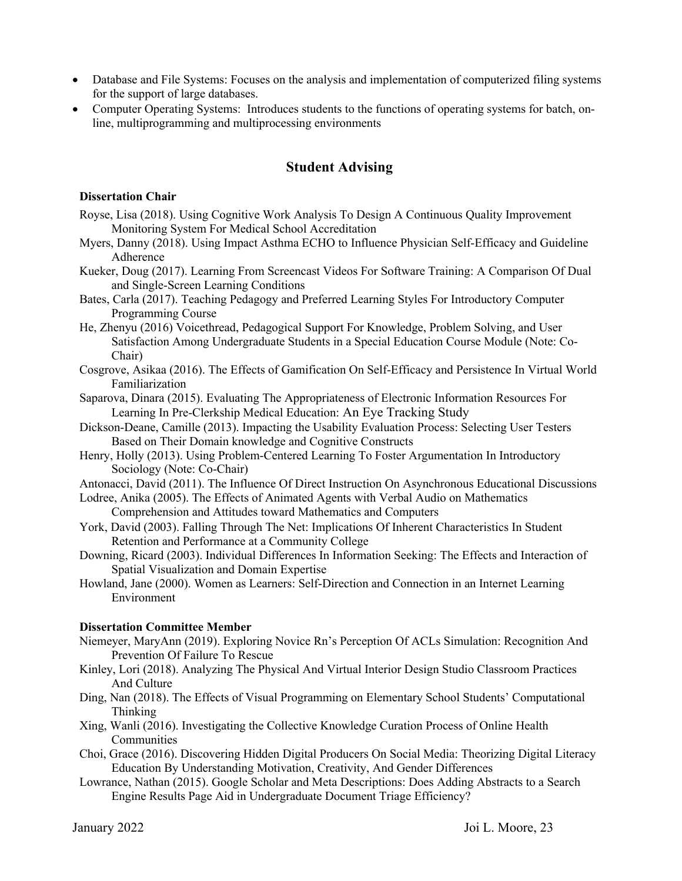- Database and File Systems: Focuses on the analysis and implementation of computerized filing systems for the support of large databases.
- Computer Operating Systems: Introduces students to the functions of operating systems for batch, online, multiprogramming and multiprocessing environments

## **Student Advising**

#### **Dissertation Chair**

- Royse, Lisa (2018). Using Cognitive Work Analysis To Design A Continuous Quality Improvement Monitoring System For Medical School Accreditation
- Myers, Danny (2018). Using Impact Asthma ECHO to Influence Physician Self-Efficacy and Guideline Adherence
- Kueker, Doug (2017). Learning From Screencast Videos For Software Training: A Comparison Of Dual and Single-Screen Learning Conditions
- Bates, Carla (2017). Teaching Pedagogy and Preferred Learning Styles For Introductory Computer Programming Course
- He, Zhenyu (2016) Voicethread, Pedagogical Support For Knowledge, Problem Solving, and User Satisfaction Among Undergraduate Students in a Special Education Course Module (Note: Co-Chair)
- Cosgrove, Asikaa (2016). The Effects of Gamification On Self-Efficacy and Persistence In Virtual World Familiarization
- Saparova, Dinara (2015). Evaluating The Appropriateness of Electronic Information Resources For Learning In Pre-Clerkship Medical Education: An Eye Tracking Study
- Dickson-Deane, Camille (2013). Impacting the Usability Evaluation Process: Selecting User Testers Based on Their Domain knowledge and Cognitive Constructs
- Henry, Holly (2013). Using Problem-Centered Learning To Foster Argumentation In Introductory Sociology (Note: Co-Chair)
- Antonacci, David (2011). The Influence Of Direct Instruction On Asynchronous Educational Discussions
- Lodree, Anika (2005). The Effects of Animated Agents with Verbal Audio on Mathematics Comprehension and Attitudes toward Mathematics and Computers
- York, David (2003). Falling Through The Net: Implications Of Inherent Characteristics In Student Retention and Performance at a Community College
- Downing, Ricard (2003). Individual Differences In Information Seeking: The Effects and Interaction of Spatial Visualization and Domain Expertise
- Howland, Jane (2000). Women as Learners: Self-Direction and Connection in an Internet Learning Environment

#### **Dissertation Committee Member**

- Niemeyer, MaryAnn (2019). Exploring Novice Rn's Perception Of ACLs Simulation: Recognition And Prevention Of Failure To Rescue
- Kinley, Lori (2018). Analyzing The Physical And Virtual Interior Design Studio Classroom Practices And Culture
- Ding, Nan (2018). The Effects of Visual Programming on Elementary School Students' Computational Thinking
- Xing, Wanli (2016). Investigating the Collective Knowledge Curation Process of Online Health Communities
- Choi, Grace (2016). Discovering Hidden Digital Producers On Social Media: Theorizing Digital Literacy Education By Understanding Motivation, Creativity, And Gender Differences
- Lowrance, Nathan (2015). Google Scholar and Meta Descriptions: Does Adding Abstracts to a Search Engine Results Page Aid in Undergraduate Document Triage Efficiency?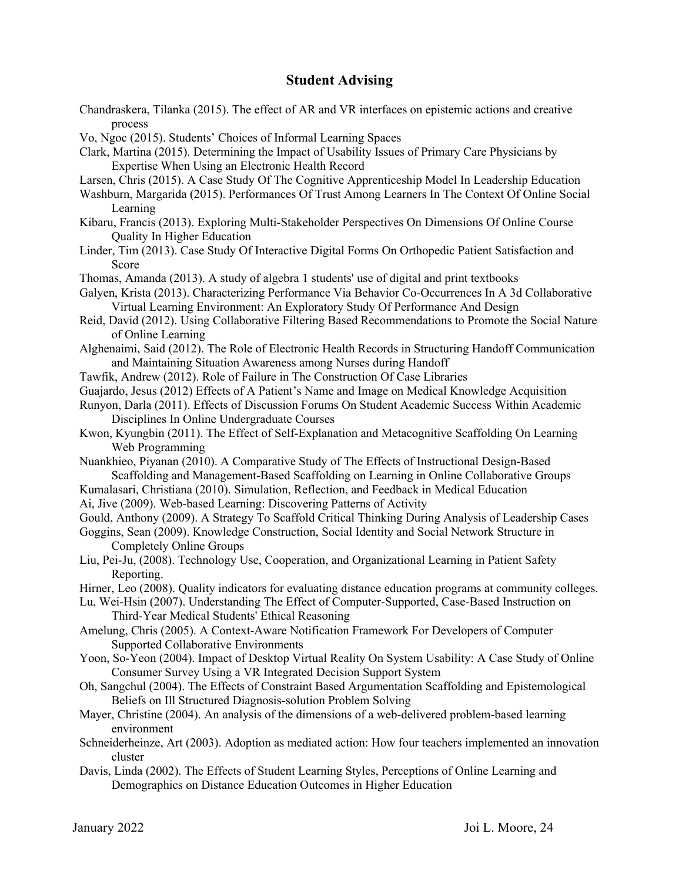## **Student Advising**

- Chandraskera, Tilanka (2015). The effect of AR and VR interfaces on epistemic actions and creative process
- Vo, Ngoc (2015). Students' Choices of Informal Learning Spaces
- Clark, Martina (2015). Determining the Impact of Usability Issues of Primary Care Physicians by Expertise When Using an Electronic Health Record
- Larsen, Chris (2015). A Case Study Of The Cognitive Apprenticeship Model In Leadership Education
- Washburn, Margarida (2015). Performances Of Trust Among Learners In The Context Of Online Social Learning
- Kibaru, Francis (2013). Exploring Multi-Stakeholder Perspectives On Dimensions Of Online Course Quality In Higher Education
- Linder, Tim (2013). Case Study Of Interactive Digital Forms On Orthopedic Patient Satisfaction and Score
- Thomas, Amanda (2013). A study of algebra 1 students' use of digital and print textbooks
- Galyen, Krista (2013). Characterizing Performance Via Behavior Co-Occurrences In A 3d Collaborative Virtual Learning Environment: An Exploratory Study Of Performance And Design
- Reid, David (2012). Using Collaborative Filtering Based Recommendations to Promote the Social Nature of Online Learning
- Alghenaimi, Said (2012). The Role of Electronic Health Records in Structuring Handoff Communication and Maintaining Situation Awareness among Nurses during Handoff
- Tawfik, Andrew (2012). Role of Failure in The Construction Of Case Libraries
- Guajardo, Jesus (2012) Effects of A Patient's Name and Image on Medical Knowledge Acquisition
- Runyon, Darla (2011). Effects of Discussion Forums On Student Academic Success Within Academic Disciplines In Online Undergraduate Courses
- Kwon, Kyungbin (2011). The Effect of Self-Explanation and Metacognitive Scaffolding On Learning Web Programming
- Nuankhieo, Piyanan (2010). A Comparative Study of The Effects of Instructional Design-Based Scaffolding and Management-Based Scaffolding on Learning in Online Collaborative Groups
- Kumalasari, Christiana (2010). Simulation, Reflection, and Feedback in Medical Education
- Ai, Jive (2009). Web-based Learning: Discovering Patterns of Activity
- Gould, Anthony (2009). A Strategy To Scaffold Critical Thinking During Analysis of Leadership Cases
- Goggins, Sean (2009). Knowledge Construction, Social Identity and Social Network Structure in Completely Online Groups
- Liu, Pei-Ju, (2008). Technology Use, Cooperation, and Organizational Learning in Patient Safety Reporting.
- Hirner, Leo (2008). Quality indicators for evaluating distance education programs at community colleges.

Lu, Wei-Hsin (2007). Understanding The Effect of Computer-Supported, Case-Based Instruction on Third-Year Medical Students' Ethical Reasoning

- Amelung, Chris (2005). A Context-Aware Notification Framework For Developers of Computer Supported Collaborative Environments
- Yoon, So-Yeon (2004). Impact of Desktop Virtual Reality On System Usability: A Case Study of Online Consumer Survey Using a VR Integrated Decision Support System
- Oh, Sangchul (2004). The Effects of Constraint Based Argumentation Scaffolding and Epistemological Beliefs on Ill Structured Diagnosis-solution Problem Solving
- Mayer, Christine (2004). An analysis of the dimensions of a web-delivered problem-based learning environment
- Schneiderheinze, Art (2003). Adoption as mediated action: How four teachers implemented an innovation cluster
- Davis, Linda (2002). The Effects of Student Learning Styles, Perceptions of Online Learning and Demographics on Distance Education Outcomes in Higher Education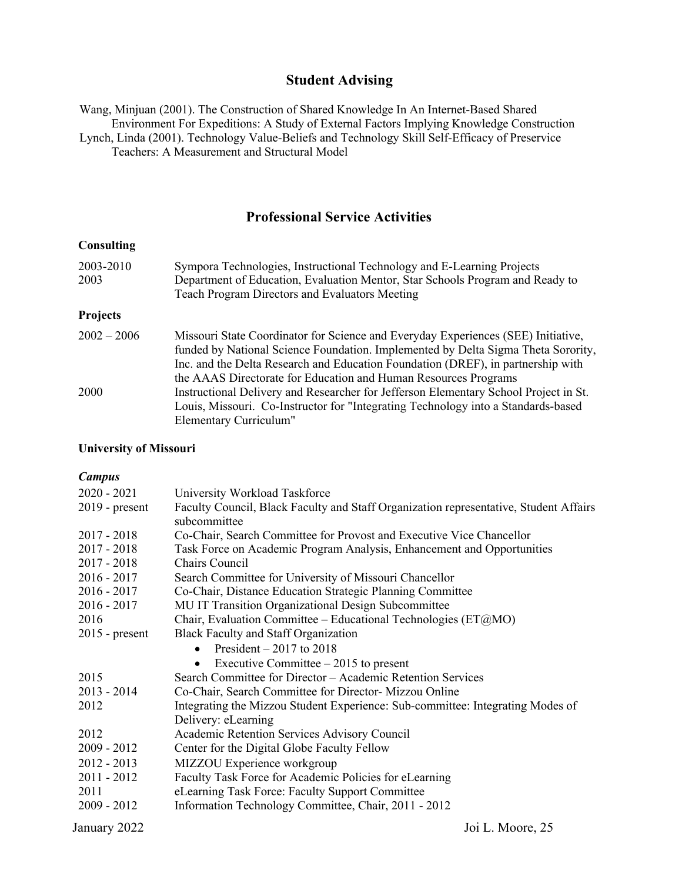## **Student Advising**

Wang, Minjuan (2001). The Construction of Shared Knowledge In An Internet-Based Shared Environment For Expeditions: A Study of External Factors Implying Knowledge Construction Lynch, Linda (2001). Technology Value-Beliefs and Technology Skill Self-Efficacy of Preservice Teachers: A Measurement and Structural Model

## **Professional Service Activities**

#### **Consulting**

| 2003-2010       | Sympora Technologies, Instructional Technology and E-Learning Projects               |
|-----------------|--------------------------------------------------------------------------------------|
| 2003            | Department of Education, Evaluation Mentor, Star Schools Program and Ready to        |
|                 | <b>Teach Program Directors and Evaluators Meeting</b>                                |
| <b>Projects</b> |                                                                                      |
| $2002 - 2006$   | Missouri State Coordinator for Science and Everyday Experiences (SEE) Initiative,    |
|                 | funded by National Science Foundation. Implemented by Delta Sigma Theta Sorority,    |
|                 | Inc. and the Delta Research and Education Foundation (DREF), in partnership with     |
|                 | the AAAS Directorate for Education and Human Resources Programs                      |
| 2000            | Instructional Delivery and Researcher for Jefferson Elementary School Project in St. |
|                 | Louis, Missouri. Co-Instructor for "Integrating Technology into a Standards-based    |
|                 | Elementary Curriculum"                                                               |

#### **University of Missouri**

#### *Campus*

| $2020 - 2021$    | University Workload Taskforce                                                         |
|------------------|---------------------------------------------------------------------------------------|
| $2019$ - present | Faculty Council, Black Faculty and Staff Organization representative, Student Affairs |
|                  | subcommittee                                                                          |
| $2017 - 2018$    | Co-Chair, Search Committee for Provost and Executive Vice Chancellor                  |
| $2017 - 2018$    | Task Force on Academic Program Analysis, Enhancement and Opportunities                |
| $2017 - 2018$    | Chairs Council                                                                        |
| $2016 - 2017$    | Search Committee for University of Missouri Chancellor                                |
| $2016 - 2017$    | Co-Chair, Distance Education Strategic Planning Committee                             |
| $2016 - 2017$    | MU IT Transition Organizational Design Subcommittee                                   |
| 2016             | Chair, Evaluation Committee – Educational Technologies (ET@MO)                        |
| $2015$ - present | <b>Black Faculty and Staff Organization</b>                                           |
|                  | President $-2017$ to 2018<br>$\bullet$                                                |
|                  | Executive Committee $-2015$ to present<br>$\bullet$                                   |
| 2015             | Search Committee for Director - Academic Retention Services                           |
| $2013 - 2014$    | Co-Chair, Search Committee for Director- Mizzou Online                                |
| 2012             | Integrating the Mizzou Student Experience: Sub-committee: Integrating Modes of        |
|                  | Delivery: eLearning                                                                   |
| 2012             | Academic Retention Services Advisory Council                                          |
| 2009 - 2012      | Center for the Digital Globe Faculty Fellow                                           |
| $2012 - 2013$    | MIZZOU Experience workgroup                                                           |
| $2011 - 2012$    | Faculty Task Force for Academic Policies for eLearning                                |
| 2011             | eLearning Task Force: Faculty Support Committee                                       |
| $2009 - 2012$    | Information Technology Committee, Chair, 2011 - 2012                                  |
| January 2022     | Joi L. Moore, 25                                                                      |
|                  |                                                                                       |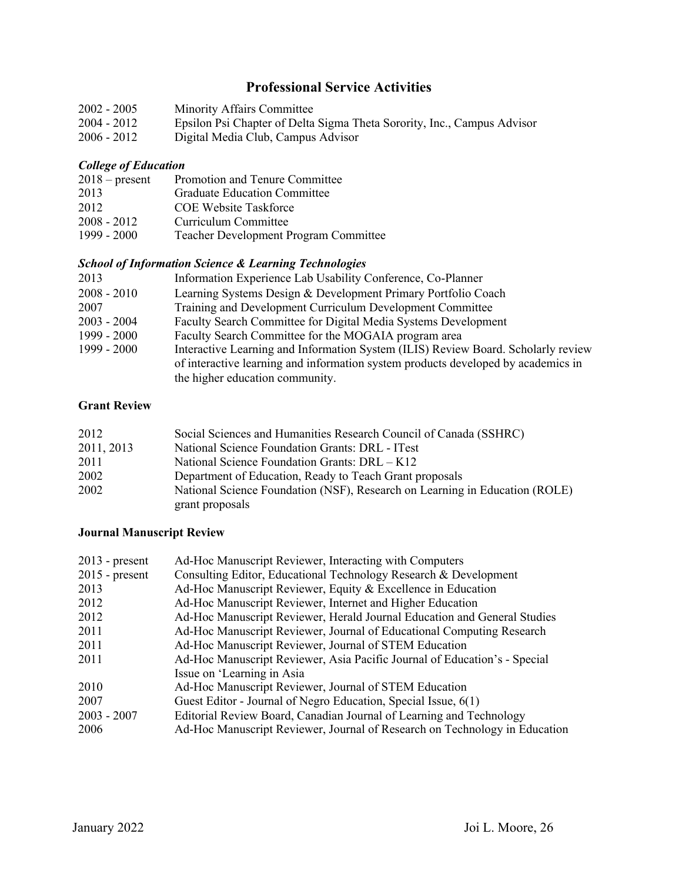## **Professional Service Activities**

| $2002 - 2005$ | <b>Minority Affairs Committee</b>                                       |
|---------------|-------------------------------------------------------------------------|
| 2004 - 2012   | Epsilon Psi Chapter of Delta Sigma Theta Sorority, Inc., Campus Advisor |
| $2006 - 2012$ | Digital Media Club, Campus Advisor                                      |

#### *College of Education*

| $2018$ – present | Promotion and Tenure Committee               |
|------------------|----------------------------------------------|
| 2013             | <b>Graduate Education Committee</b>          |
| 2012             | <b>COE Website Taskforce</b>                 |
| $2008 - 2012$    | Curriculum Committee                         |
| 1999 - 2000      | <b>Teacher Development Program Committee</b> |

## *School of Information Science & Learning Technologies*

| 2013          | Information Experience Lab Usability Conference, Co-Planner                       |
|---------------|-----------------------------------------------------------------------------------|
| $2008 - 2010$ | Learning Systems Design & Development Primary Portfolio Coach                     |
| 2007          | Training and Development Curriculum Development Committee                         |
| $2003 - 2004$ | Faculty Search Committee for Digital Media Systems Development                    |
| 1999 - 2000   | Faculty Search Committee for the MOGAIA program area                              |
| 1999 - 2000   | Interactive Learning and Information System (ILIS) Review Board. Scholarly review |
|               | of interactive learning and information system products developed by academics in |
|               | the higher education community.                                                   |

## **Grant Review**

| 2012       | Social Sciences and Humanities Research Council of Canada (SSHRC)           |
|------------|-----------------------------------------------------------------------------|
| 2011, 2013 | National Science Foundation Grants: DRL - ITest                             |
| 2011       | National Science Foundation Grants: DRL - K12                               |
| 2002       | Department of Education, Ready to Teach Grant proposals                     |
| 2002       | National Science Foundation (NSF), Research on Learning in Education (ROLE) |
|            | grant proposals                                                             |

#### **Journal Manuscript Review**

| $2013$ - present | Ad-Hoc Manuscript Reviewer, Interacting with Computers                     |
|------------------|----------------------------------------------------------------------------|
| $2015$ - present | Consulting Editor, Educational Technology Research & Development           |
| 2013             | Ad-Hoc Manuscript Reviewer, Equity & Excellence in Education               |
| 2012             | Ad-Hoc Manuscript Reviewer, Internet and Higher Education                  |
| 2012             | Ad-Hoc Manuscript Reviewer, Herald Journal Education and General Studies   |
| 2011             | Ad-Hoc Manuscript Reviewer, Journal of Educational Computing Research      |
| 2011             | Ad-Hoc Manuscript Reviewer, Journal of STEM Education                      |
| 2011             | Ad-Hoc Manuscript Reviewer, Asia Pacific Journal of Education's - Special  |
|                  | Issue on 'Learning in Asia                                                 |
| 2010             | Ad-Hoc Manuscript Reviewer, Journal of STEM Education                      |
| 2007             | Guest Editor - Journal of Negro Education, Special Issue, 6(1)             |
| 2003 - 2007      | Editorial Review Board, Canadian Journal of Learning and Technology        |
| 2006             | Ad-Hoc Manuscript Reviewer, Journal of Research on Technology in Education |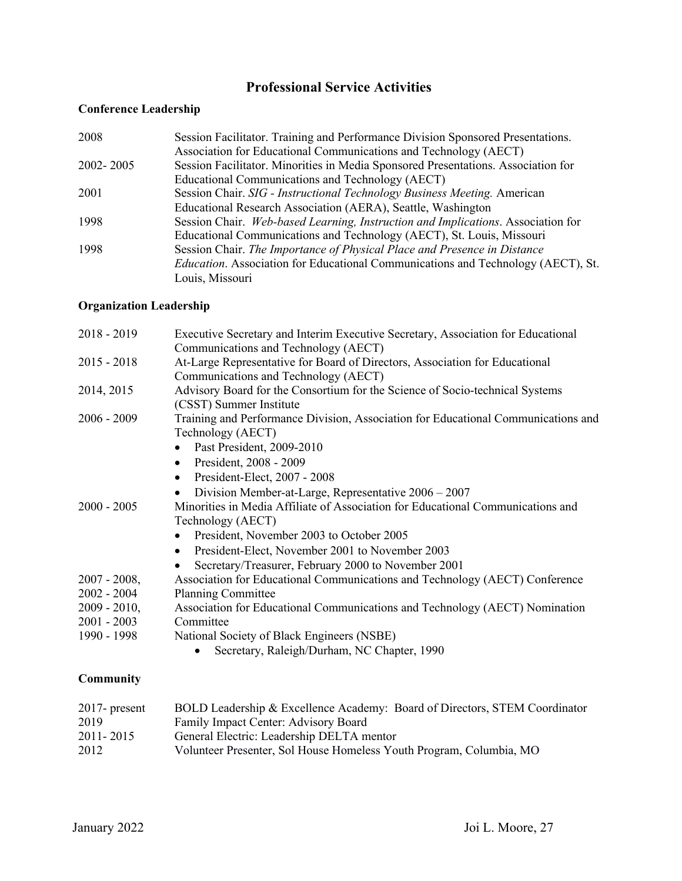## **Professional Service Activities**

### **Conference Leadership**

| 2008      | Session Facilitator. Training and Performance Division Sponsored Presentations.          |
|-----------|------------------------------------------------------------------------------------------|
|           | Association for Educational Communications and Technology (AECT)                         |
| 2002-2005 | Session Facilitator. Minorities in Media Sponsored Presentations. Association for        |
|           | Educational Communications and Technology (AECT)                                         |
| 2001      | Session Chair. SIG - Instructional Technology Business Meeting. American                 |
|           | Educational Research Association (AERA), Seattle, Washington                             |
| 1998      | Session Chair. Web-based Learning, Instruction and Implications. Association for         |
|           | Educational Communications and Technology (AECT), St. Louis, Missouri                    |
| 1998      | Session Chair. The Importance of Physical Place and Presence in Distance                 |
|           | <i>Education</i> . Association for Educational Communications and Technology (AECT), St. |
|           | Louis, Missouri                                                                          |

#### **Organization Leadership**

| $2018 - 2019$    | Executive Secretary and Interim Executive Secretary, Association for Educational  |
|------------------|-----------------------------------------------------------------------------------|
|                  | Communications and Technology (AECT)                                              |
| $2015 - 2018$    | At-Large Representative for Board of Directors, Association for Educational       |
|                  | Communications and Technology (AECT)                                              |
| 2014, 2015       | Advisory Board for the Consortium for the Science of Socio-technical Systems      |
|                  | (CSST) Summer Institute                                                           |
| $2006 - 2009$    | Training and Performance Division, Association for Educational Communications and |
|                  | Technology (AECT)                                                                 |
|                  | Past President, 2009-2010<br>$\bullet$                                            |
|                  | President, 2008 - 2009<br>٠                                                       |
|                  | President-Elect, 2007 - 2008<br>$\bullet$                                         |
|                  | Division Member-at-Large, Representative $2006 - 2007$<br>$\bullet$               |
| $2000 - 2005$    | Minorities in Media Affiliate of Association for Educational Communications and   |
|                  | Technology (AECT)                                                                 |
|                  | President, November 2003 to October 2005<br>$\bullet$                             |
|                  | President-Elect, November 2001 to November 2003<br>$\bullet$                      |
|                  | Secretary/Treasurer, February 2000 to November 2001                               |
| $2007 - 2008$ ,  | Association for Educational Communications and Technology (AECT) Conference       |
| $2002 - 2004$    | <b>Planning Committee</b>                                                         |
| $2009 - 2010$ ,  | Association for Educational Communications and Technology (AECT) Nomination       |
| $2001 - 2003$    | Committee                                                                         |
| 1990 - 1998      | National Society of Black Engineers (NSBE)                                        |
|                  | Secretary, Raleigh/Durham, NC Chapter, 1990                                       |
| <b>Community</b> |                                                                                   |
|                  |                                                                                   |
| $2017$ - present | BOLD Leadership & Excellence Academy: Board of Directors, STEM Coordinator        |
| 2019             | Family Impact Center: Advisory Board                                              |

2011- 2015 General Electric: Leadership DELTA mentor

2012 Volunteer Presenter, Sol House Homeless Youth Program, Columbia, MO